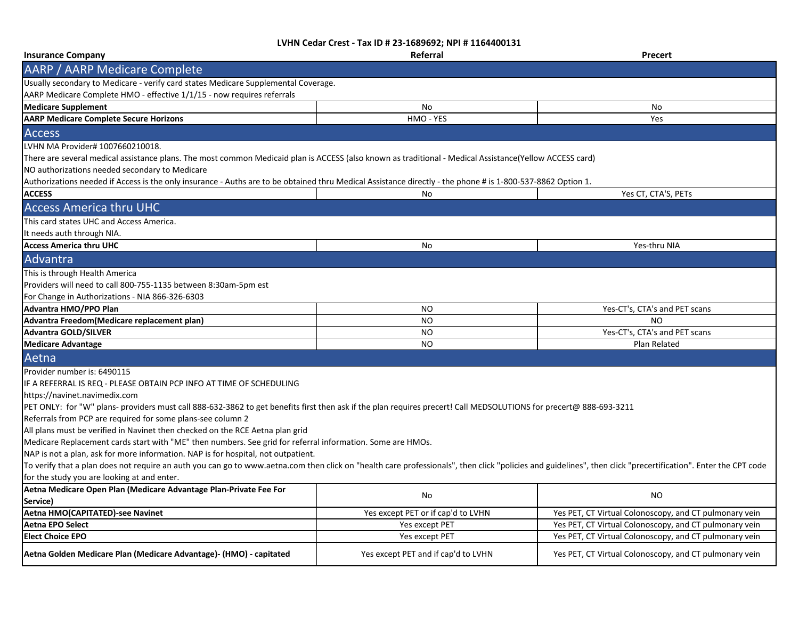| <b>Insurance Company</b>                                                                                                                                                                                      | Referral                            | <b>Precert</b>                                         |
|---------------------------------------------------------------------------------------------------------------------------------------------------------------------------------------------------------------|-------------------------------------|--------------------------------------------------------|
| AARP / AARP Medicare Complete                                                                                                                                                                                 |                                     |                                                        |
| Usually secondary to Medicare - verify card states Medicare Supplemental Coverage.                                                                                                                            |                                     |                                                        |
| AARP Medicare Complete HMO - effective 1/1/15 - now requires referrals                                                                                                                                        |                                     |                                                        |
| <b>Medicare Supplement</b>                                                                                                                                                                                    | No                                  | No                                                     |
| <b>AARP Medicare Complete Secure Horizons</b>                                                                                                                                                                 | HMO - YES                           | Yes                                                    |
| <b>Access</b>                                                                                                                                                                                                 |                                     |                                                        |
| LVHN MA Provider# 1007660210018.                                                                                                                                                                              |                                     |                                                        |
| There are several medical assistance plans. The most common Medicaid plan is ACCESS (also known as traditional - Medical Assistance(Yellow ACCESS card)                                                       |                                     |                                                        |
| NO authorizations needed secondary to Medicare                                                                                                                                                                |                                     |                                                        |
| Authorizations needed if Access is the only insurance - Auths are to be obtained thru Medical Assistance directly - the phone # is 1-800-537-8862 Option 1.                                                   |                                     |                                                        |
| <b>ACCESS</b>                                                                                                                                                                                                 | No                                  | Yes CT, CTA'S, PETs                                    |
| <b>Access America thru UHC</b>                                                                                                                                                                                |                                     |                                                        |
| This card states UHC and Access America.                                                                                                                                                                      |                                     |                                                        |
| It needs auth through NIA.                                                                                                                                                                                    |                                     |                                                        |
| <b>Access America thru UHC</b>                                                                                                                                                                                | No                                  | Yes-thru NIA                                           |
| Advantra                                                                                                                                                                                                      |                                     |                                                        |
| This is through Health America                                                                                                                                                                                |                                     |                                                        |
| Providers will need to call 800-755-1135 between 8:30am-5pm est                                                                                                                                               |                                     |                                                        |
| For Change in Authorizations - NIA 866-326-6303                                                                                                                                                               |                                     |                                                        |
| Advantra HMO/PPO Plan                                                                                                                                                                                         | NO.                                 | Yes-CT's, CTA's and PET scans                          |
| Advantra Freedom(Medicare replacement plan)                                                                                                                                                                   | <b>NO</b>                           | N <sub>O</sub>                                         |
| <b>Advantra GOLD/SILVER</b>                                                                                                                                                                                   | N <sub>O</sub>                      | Yes-CT's, CTA's and PET scans                          |
| <b>Medicare Advantage</b>                                                                                                                                                                                     | <b>NO</b>                           | Plan Related                                           |
| Aetna                                                                                                                                                                                                         |                                     |                                                        |
| Provider number is: 6490115                                                                                                                                                                                   |                                     |                                                        |
| IF A REFERRAL IS REQ - PLEASE OBTAIN PCP INFO AT TIME OF SCHEDULING                                                                                                                                           |                                     |                                                        |
| https://navinet.navimedix.com                                                                                                                                                                                 |                                     |                                                        |
| PET ONLY: for "W" plans- providers must call 888-632-3862 to get benefits first then ask if the plan requires precert! Call MEDSOLUTIONS for precert@ 888-693-3211                                            |                                     |                                                        |
| Referrals from PCP are required for some plans-see column 2                                                                                                                                                   |                                     |                                                        |
| All plans must be verified in Navinet then checked on the RCE Aetna plan grid                                                                                                                                 |                                     |                                                        |
| Medicare Replacement cards start with "ME" then numbers. See grid for referral information. Some are HMOs.                                                                                                    |                                     |                                                        |
| NAP is not a plan, ask for more information. NAP is for hospital, not outpatient.                                                                                                                             |                                     |                                                        |
| To verify that a plan does not require an auth you can go to www.aetna.com then click on "health care professionals", then click "policies and guidelines", then click "precertification". Enter the CPT code |                                     |                                                        |
| for the study you are looking at and enter.                                                                                                                                                                   |                                     |                                                        |
| Aetna Medicare Open Plan (Medicare Advantage Plan-Private Fee For<br>Service)                                                                                                                                 | No                                  | <b>NO</b>                                              |
| Aetna HMO(CAPITATED)-see Navinet                                                                                                                                                                              | Yes except PET or if cap'd to LVHN  | Yes PET, CT Virtual Colonoscopy, and CT pulmonary vein |
| <b>Aetna EPO Select</b>                                                                                                                                                                                       | Yes except PET                      | Yes PET, CT Virtual Colonoscopy, and CT pulmonary vein |
| <b>Elect Choice EPO</b>                                                                                                                                                                                       | Yes except PET                      | Yes PET, CT Virtual Colonoscopy, and CT pulmonary vein |
| Aetna Golden Medicare Plan (Medicare Advantage)- (HMO) - capitated                                                                                                                                            | Yes except PET and if cap'd to LVHN | Yes PET, CT Virtual Colonoscopy, and CT pulmonary vein |
|                                                                                                                                                                                                               |                                     |                                                        |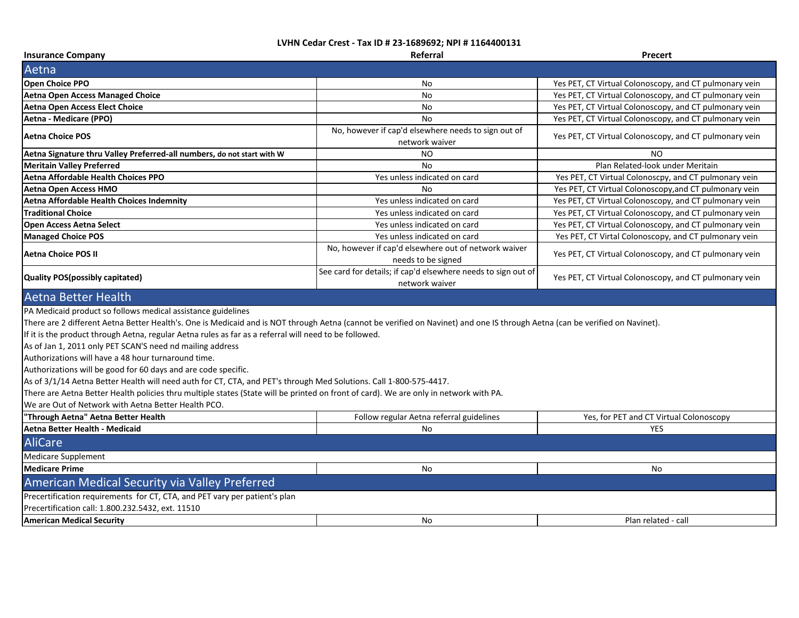| <b>Insurance Company</b>                                                                                                                                                                                                                                                                                                                                                                                                                                                                                                                                                                                                                                                                                                                                                                                                                                           | Referral                                                                        | Precert                                                |  |
|--------------------------------------------------------------------------------------------------------------------------------------------------------------------------------------------------------------------------------------------------------------------------------------------------------------------------------------------------------------------------------------------------------------------------------------------------------------------------------------------------------------------------------------------------------------------------------------------------------------------------------------------------------------------------------------------------------------------------------------------------------------------------------------------------------------------------------------------------------------------|---------------------------------------------------------------------------------|--------------------------------------------------------|--|
| Aetna                                                                                                                                                                                                                                                                                                                                                                                                                                                                                                                                                                                                                                                                                                                                                                                                                                                              |                                                                                 |                                                        |  |
| Open Choice PPO                                                                                                                                                                                                                                                                                                                                                                                                                                                                                                                                                                                                                                                                                                                                                                                                                                                    | No                                                                              | Yes PET, CT Virtual Colonoscopy, and CT pulmonary vein |  |
| <b>Aetna Open Access Managed Choice</b>                                                                                                                                                                                                                                                                                                                                                                                                                                                                                                                                                                                                                                                                                                                                                                                                                            | No                                                                              | Yes PET, CT Virtual Colonoscopy, and CT pulmonary vein |  |
| <b>Aetna Open Access Elect Choice</b>                                                                                                                                                                                                                                                                                                                                                                                                                                                                                                                                                                                                                                                                                                                                                                                                                              | No                                                                              | Yes PET, CT Virtual Colonoscopy, and CT pulmonary vein |  |
| Aetna - Medicare (PPO)                                                                                                                                                                                                                                                                                                                                                                                                                                                                                                                                                                                                                                                                                                                                                                                                                                             | <b>No</b>                                                                       | Yes PET, CT Virtual Colonoscopy, and CT pulmonary vein |  |
| <b>Aetna Choice POS</b>                                                                                                                                                                                                                                                                                                                                                                                                                                                                                                                                                                                                                                                                                                                                                                                                                                            | No, however if cap'd elsewhere needs to sign out of<br>network waiver           | Yes PET, CT Virtual Colonoscopy, and CT pulmonary vein |  |
| Aetna Signature thru Valley Preferred-all numbers, do not start with W                                                                                                                                                                                                                                                                                                                                                                                                                                                                                                                                                                                                                                                                                                                                                                                             | NO.                                                                             | N <sub>O</sub>                                         |  |
| <b>Meritain Valley Preferred</b>                                                                                                                                                                                                                                                                                                                                                                                                                                                                                                                                                                                                                                                                                                                                                                                                                                   | <b>No</b>                                                                       | Plan Related-look under Meritain                       |  |
| Aetna Affordable Health Choices PPO                                                                                                                                                                                                                                                                                                                                                                                                                                                                                                                                                                                                                                                                                                                                                                                                                                | Yes unless indicated on card                                                    | Yes PET, CT Virtual Colonoscpy, and CT pulmonary vein  |  |
| Aetna Open Access HMO                                                                                                                                                                                                                                                                                                                                                                                                                                                                                                                                                                                                                                                                                                                                                                                                                                              | No                                                                              | Yes PET, CT Virtual Colonoscopy, and CT pulmonary vein |  |
| Aetna Affordable Health Choices Indemnity                                                                                                                                                                                                                                                                                                                                                                                                                                                                                                                                                                                                                                                                                                                                                                                                                          | Yes unless indicated on card                                                    | Yes PET, CT Virtual Colonoscopy, and CT pulmonary vein |  |
| <b>Traditional Choice</b>                                                                                                                                                                                                                                                                                                                                                                                                                                                                                                                                                                                                                                                                                                                                                                                                                                          | Yes unless indicated on card                                                    | Yes PET, CT Virtual Colonoscopy, and CT pulmonary vein |  |
| <b>Open Access Aetna Select</b>                                                                                                                                                                                                                                                                                                                                                                                                                                                                                                                                                                                                                                                                                                                                                                                                                                    | Yes unless indicated on card                                                    | Yes PET, CT Virtual Colonoscopy, and CT pulmonary vein |  |
| <b>Managed Choice POS</b>                                                                                                                                                                                                                                                                                                                                                                                                                                                                                                                                                                                                                                                                                                                                                                                                                                          | Yes unless indicated on card                                                    | Yes PET, CT Virtal Colonoscopy, and CT pulmonary vein  |  |
| <b>Aetna Choice POS II</b>                                                                                                                                                                                                                                                                                                                                                                                                                                                                                                                                                                                                                                                                                                                                                                                                                                         | No, however if cap'd elsewhere out of network waiver<br>needs to be signed      | Yes PET, CT Virtual Colonoscopy, and CT pulmonary vein |  |
| Quality POS(possibly capitated)                                                                                                                                                                                                                                                                                                                                                                                                                                                                                                                                                                                                                                                                                                                                                                                                                                    | See card for details; if cap'd elsewhere needs to sign out of<br>network waiver | Yes PET, CT Virtual Colonoscopy, and CT pulmonary vein |  |
| <b>Aetna Better Health</b>                                                                                                                                                                                                                                                                                                                                                                                                                                                                                                                                                                                                                                                                                                                                                                                                                                         |                                                                                 |                                                        |  |
| PA Medicaid product so follows medical assistance guidelines<br>There are 2 different Aetna Better Health's. One is Medicaid and is NOT through Aetna (cannot be verified on Navinet) and one IS through Aetna (can be verified on Navinet).<br>If it is the product through Aetna, regular Aetna rules as far as a referral will need to be followed.<br>As of Jan 1, 2011 only PET SCAN'S need nd mailing address<br>Authorizations will have a 48 hour turnaround time.<br>Authorizations will be good for 60 days and are code specific.<br>As of 3/1/14 Aetna Better Health will need auth for CT, CTA, and PET's through Med Solutions. Call 1-800-575-4417.<br>There are Aetna Better Health policies thru multiple states (State will be printed on front of card). We are only in network with PA.<br>We are Out of Network with Aetna Better Health PCO. |                                                                                 |                                                        |  |
| "Through Aetna" Aetna Better Health                                                                                                                                                                                                                                                                                                                                                                                                                                                                                                                                                                                                                                                                                                                                                                                                                                | Follow regular Aetna referral guidelines                                        | Yes, for PET and CT Virtual Colonoscopy                |  |
| Aetna Better Health - Medicaid                                                                                                                                                                                                                                                                                                                                                                                                                                                                                                                                                                                                                                                                                                                                                                                                                                     | No                                                                              | <b>YES</b>                                             |  |
| <b>AliCare</b>                                                                                                                                                                                                                                                                                                                                                                                                                                                                                                                                                                                                                                                                                                                                                                                                                                                     |                                                                                 |                                                        |  |
| <b>Medicare Supplement</b>                                                                                                                                                                                                                                                                                                                                                                                                                                                                                                                                                                                                                                                                                                                                                                                                                                         |                                                                                 |                                                        |  |
| <b>Medicare Prime</b>                                                                                                                                                                                                                                                                                                                                                                                                                                                                                                                                                                                                                                                                                                                                                                                                                                              | No                                                                              | No                                                     |  |
| American Medical Security via Valley Preferred                                                                                                                                                                                                                                                                                                                                                                                                                                                                                                                                                                                                                                                                                                                                                                                                                     |                                                                                 |                                                        |  |
| Precertification requirements for CT, CTA, and PET vary per patient's plan                                                                                                                                                                                                                                                                                                                                                                                                                                                                                                                                                                                                                                                                                                                                                                                         |                                                                                 |                                                        |  |
| Precertification call: 1.800.232.5432, ext. 11510                                                                                                                                                                                                                                                                                                                                                                                                                                                                                                                                                                                                                                                                                                                                                                                                                  |                                                                                 |                                                        |  |
| <b>American Medical Security</b>                                                                                                                                                                                                                                                                                                                                                                                                                                                                                                                                                                                                                                                                                                                                                                                                                                   | No                                                                              | Plan related - call                                    |  |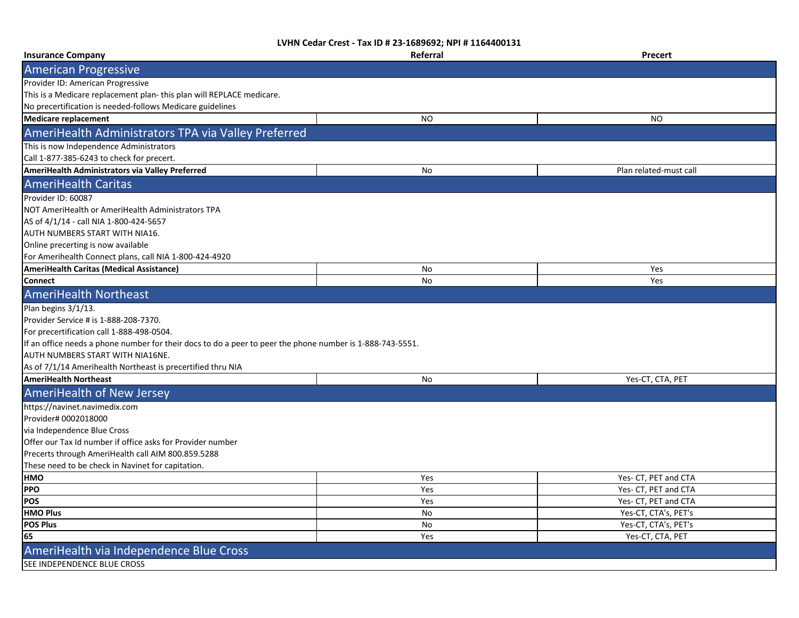| <b>Insurance Company</b>                                                                                  | Referral  | Precert                |
|-----------------------------------------------------------------------------------------------------------|-----------|------------------------|
| <b>American Progressive</b>                                                                               |           |                        |
| Provider ID: American Progressive                                                                         |           |                        |
| This is a Medicare replacement plan-this plan will REPLACE medicare.                                      |           |                        |
| No precertification is needed-follows Medicare guidelines                                                 |           |                        |
| <b>Medicare replacement</b>                                                                               | <b>NO</b> | <b>NO</b>              |
| AmeriHealth Administrators TPA via Valley Preferred                                                       |           |                        |
| This is now Independence Administrators                                                                   |           |                        |
| Call 1-877-385-6243 to check for precert.                                                                 |           |                        |
| AmeriHealth Administrators via Valley Preferred                                                           | No        | Plan related-must call |
| <b>AmeriHealth Caritas</b>                                                                                |           |                        |
| Provider ID: 60087                                                                                        |           |                        |
| NOT AmeriHealth or AmeriHealth Administrators TPA                                                         |           |                        |
| AS of 4/1/14 - call NIA 1-800-424-5657                                                                    |           |                        |
| AUTH NUMBERS START WITH NIA16.                                                                            |           |                        |
| Online precerting is now available                                                                        |           |                        |
| For Amerihealth Connect plans, call NIA 1-800-424-4920                                                    |           |                        |
| <b>AmeriHealth Caritas (Medical Assistance)</b>                                                           | No        | Yes                    |
| <b>Connect</b>                                                                                            | No        | Yes                    |
| <b>AmeriHealth Northeast</b>                                                                              |           |                        |
| Plan begins 3/1/13.                                                                                       |           |                        |
| Provider Service # is 1-888-208-7370.                                                                     |           |                        |
| For precertification call 1-888-498-0504.                                                                 |           |                        |
| If an office needs a phone number for their docs to do a peer to peer the phone number is 1-888-743-5551. |           |                        |
| AUTH NUMBERS START WITH NIA16NE.                                                                          |           |                        |
| As of 7/1/14 Amerihealth Northeast is precertified thru NIA                                               |           |                        |
| <b>AmeriHealth Northeast</b>                                                                              | No        | Yes-CT, CTA, PET       |
| AmeriHealth of New Jersey                                                                                 |           |                        |
| https://navinet.navimedix.com                                                                             |           |                        |
| Provider# 0002018000                                                                                      |           |                        |
| via Independence Blue Cross                                                                               |           |                        |
| Offer our Tax Id number if office asks for Provider number                                                |           |                        |
| Precerts through AmeriHealth call AIM 800.859.5288                                                        |           |                        |
| These need to be check in Navinet for capitation.                                                         |           |                        |
| <b>HMO</b>                                                                                                | Yes       | Yes- CT, PET and CTA   |
| <b>PPO</b>                                                                                                | Yes       | Yes- CT, PET and CTA   |
| <b>POS</b>                                                                                                | Yes       | Yes- CT, PET and CTA   |
| <b>HMO Plus</b>                                                                                           | No        | Yes-CT, CTA's, PET's   |
| <b>POS Plus</b>                                                                                           | No        | Yes-CT, CTA's, PET's   |
| 65                                                                                                        | Yes       | Yes-CT, CTA, PET       |
| AmeriHealth via Independence Blue Cross                                                                   |           |                        |
| SEE INDEPENDENCE BLUE CROSS                                                                               |           |                        |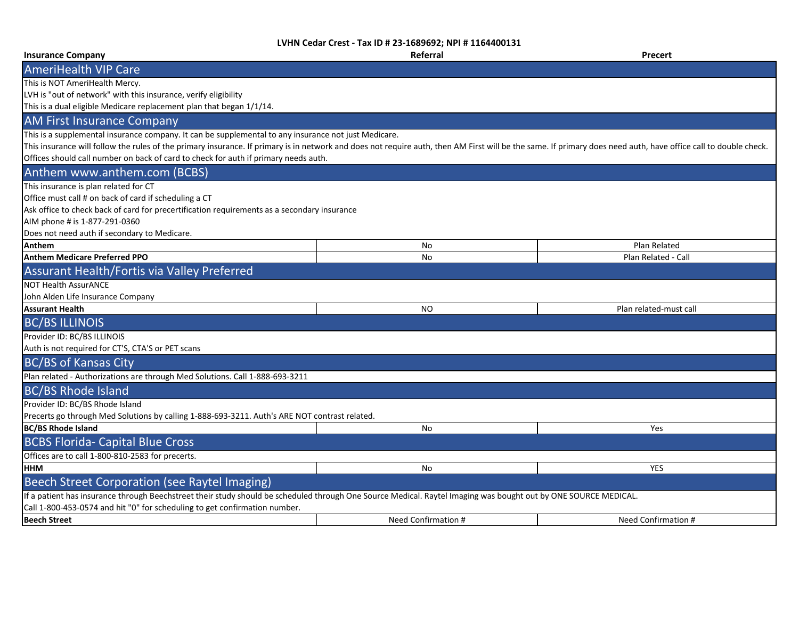| <b>Insurance Company</b>                                                                                                                                                                                        | Referral            | Precert                |
|-----------------------------------------------------------------------------------------------------------------------------------------------------------------------------------------------------------------|---------------------|------------------------|
| <b>AmeriHealth VIP Care</b>                                                                                                                                                                                     |                     |                        |
| This is NOT AmeriHealth Mercy.                                                                                                                                                                                  |                     |                        |
| LVH is "out of network" with this insurance, verify eligibility                                                                                                                                                 |                     |                        |
| This is a dual eligible Medicare replacement plan that began 1/1/14.                                                                                                                                            |                     |                        |
| <b>AM First Insurance Company</b>                                                                                                                                                                               |                     |                        |
| This is a supplemental insurance company. It can be supplemental to any insurance not just Medicare.                                                                                                            |                     |                        |
| This insurance will follow the rules of the primary insurance. If primary is in network and does not require auth, then AM First will be the same. If primary does need auth, have office call to double check. |                     |                        |
| Offices should call number on back of card to check for auth if primary needs auth.                                                                                                                             |                     |                        |
| Anthem www.anthem.com (BCBS)                                                                                                                                                                                    |                     |                        |
| This insurance is plan related for CT                                                                                                                                                                           |                     |                        |
| Office must call # on back of card if scheduling a CT                                                                                                                                                           |                     |                        |
| Ask office to check back of card for precertification requirements as a secondary insurance                                                                                                                     |                     |                        |
| AIM phone # is 1-877-291-0360                                                                                                                                                                                   |                     |                        |
| Does not need auth if secondary to Medicare.                                                                                                                                                                    |                     |                        |
| Anthem                                                                                                                                                                                                          | <b>No</b>           | Plan Related           |
| <b>Anthem Medicare Preferred PPO</b>                                                                                                                                                                            | <b>No</b>           | Plan Related - Call    |
| Assurant Health/Fortis via Valley Preferred                                                                                                                                                                     |                     |                        |
| <b>NOT Health AssurANCE</b>                                                                                                                                                                                     |                     |                        |
| John Alden Life Insurance Company                                                                                                                                                                               |                     |                        |
| <b>Assurant Health</b>                                                                                                                                                                                          | NO.                 | Plan related-must call |
| <b>BC/BS ILLINOIS</b>                                                                                                                                                                                           |                     |                        |
| Provider ID: BC/BS ILLINOIS                                                                                                                                                                                     |                     |                        |
| Auth is not required for CT'S, CTA'S or PET scans                                                                                                                                                               |                     |                        |
| <b>BC/BS of Kansas City</b>                                                                                                                                                                                     |                     |                        |
| Plan related - Authorizations are through Med Solutions. Call 1-888-693-3211                                                                                                                                    |                     |                        |
| <b>BC/BS Rhode Island</b>                                                                                                                                                                                       |                     |                        |
| Provider ID: BC/BS Rhode Island                                                                                                                                                                                 |                     |                        |
| Precerts go through Med Solutions by calling 1-888-693-3211. Auth's ARE NOT contrast related.                                                                                                                   |                     |                        |
| <b>BC/BS Rhode Island</b>                                                                                                                                                                                       | No                  | Yes                    |
| <b>BCBS Florida- Capital Blue Cross</b>                                                                                                                                                                         |                     |                        |
| Offices are to call 1-800-810-2583 for precerts.                                                                                                                                                                |                     |                        |
| <b>HHM</b>                                                                                                                                                                                                      | No                  | <b>YES</b>             |
| Beech Street Corporation (see Raytel Imaging)                                                                                                                                                                   |                     |                        |
| If a patient has insurance through Beechstreet their study should be scheduled through One Source Medical. Raytel Imaging was bought out by ONE SOURCE MEDICAL.                                                 |                     |                        |
| Call 1-800-453-0574 and hit "0" for scheduling to get confirmation number.                                                                                                                                      |                     |                        |
| <b>Beech Street</b>                                                                                                                                                                                             | Need Confirmation # | Need Confirmation #    |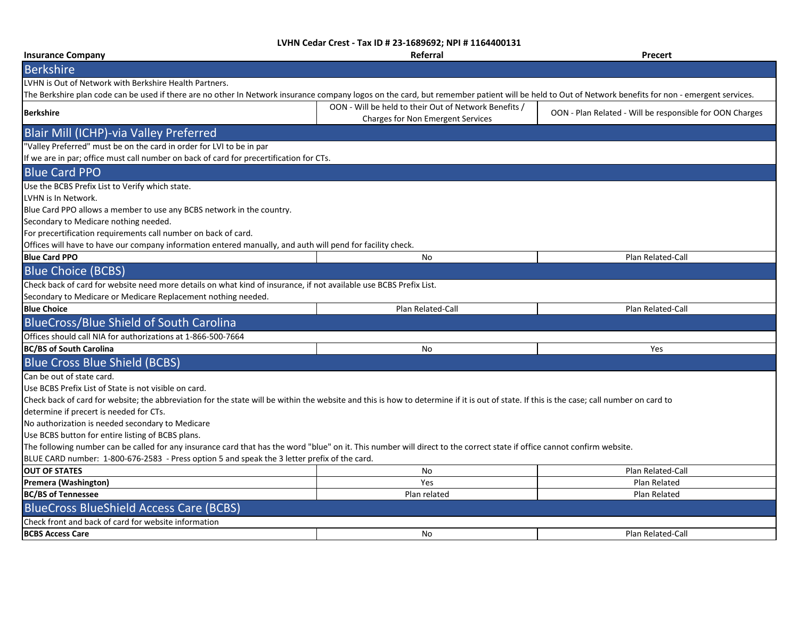| <b>Insurance Company</b>                                                                                                                                                                            | Referral                                              | Precert                                                  |
|-----------------------------------------------------------------------------------------------------------------------------------------------------------------------------------------------------|-------------------------------------------------------|----------------------------------------------------------|
| <b>Berkshire</b>                                                                                                                                                                                    |                                                       |                                                          |
| LVHN is Out of Network with Berkshire Health Partners.                                                                                                                                              |                                                       |                                                          |
| The Berkshire plan code can be used if there are no other In Network insurance company logos on the card, but remember patient will be held to Out of Network benefits for non - emergent services. |                                                       |                                                          |
| <b>Berkshire</b>                                                                                                                                                                                    | OON - Will be held to their Out of Network Benefits / | OON - Plan Related - Will be responsible for OON Charges |
|                                                                                                                                                                                                     | Charges for Non Emergent Services                     |                                                          |
| <b>Blair Mill (ICHP)-via Valley Preferred</b>                                                                                                                                                       |                                                       |                                                          |
| "Valley Preferred" must be on the card in order for LVI to be in par                                                                                                                                |                                                       |                                                          |
| If we are in par; office must call number on back of card for precertification for CTs.                                                                                                             |                                                       |                                                          |
| <b>Blue Card PPO</b>                                                                                                                                                                                |                                                       |                                                          |
| Use the BCBS Prefix List to Verify which state.                                                                                                                                                     |                                                       |                                                          |
| LVHN is In Network.                                                                                                                                                                                 |                                                       |                                                          |
| Blue Card PPO allows a member to use any BCBS network in the country.                                                                                                                               |                                                       |                                                          |
| Secondary to Medicare nothing needed.                                                                                                                                                               |                                                       |                                                          |
| For precertification requirements call number on back of card.                                                                                                                                      |                                                       |                                                          |
| Offices will have to have our company information entered manually, and auth will pend for facility check.                                                                                          |                                                       |                                                          |
| <b>Blue Card PPO</b>                                                                                                                                                                                | No                                                    | Plan Related-Call                                        |
| <b>Blue Choice (BCBS)</b>                                                                                                                                                                           |                                                       |                                                          |
| Check back of card for website need more details on what kind of insurance, if not available use BCBS Prefix List.                                                                                  |                                                       |                                                          |
| Secondary to Medicare or Medicare Replacement nothing needed.                                                                                                                                       |                                                       |                                                          |
| <b>Blue Choice</b>                                                                                                                                                                                  | <b>Plan Related-Call</b>                              | Plan Related-Call                                        |
| <b>BlueCross/Blue Shield of South Carolina</b>                                                                                                                                                      |                                                       |                                                          |
| Offices should call NIA for authorizations at 1-866-500-7664                                                                                                                                        |                                                       |                                                          |
| <b>BC/BS of South Carolina</b>                                                                                                                                                                      | No                                                    | Yes                                                      |
| <b>Blue Cross Blue Shield (BCBS)</b>                                                                                                                                                                |                                                       |                                                          |
| Can be out of state card.                                                                                                                                                                           |                                                       |                                                          |
| Use BCBS Prefix List of State is not visible on card.                                                                                                                                               |                                                       |                                                          |
| Check back of card for website; the abbreviation for the state will be within the website and this is how to determine if it is out of state. If this is the case; call number on card to           |                                                       |                                                          |
| determine if precert is needed for CTs.                                                                                                                                                             |                                                       |                                                          |
| No authorization is needed secondary to Medicare                                                                                                                                                    |                                                       |                                                          |
| Use BCBS button for entire listing of BCBS plans.                                                                                                                                                   |                                                       |                                                          |
| The following number can be called for any insurance card that has the word "blue" on it. This number will direct to the correct state if office cannot confirm website.                            |                                                       |                                                          |
| BLUE CARD number: 1-800-676-2583 - Press option 5 and speak the 3 letter prefix of the card.                                                                                                        |                                                       |                                                          |
| <b>OUT OF STATES</b>                                                                                                                                                                                | No                                                    | Plan Related-Call                                        |
| Premera (Washington)                                                                                                                                                                                | Yes                                                   | Plan Related                                             |
| <b>BC/BS of Tennessee</b>                                                                                                                                                                           | Plan related                                          | <b>Plan Related</b>                                      |
| <b>BlueCross BlueShield Access Care (BCBS)</b>                                                                                                                                                      |                                                       |                                                          |
| Check front and back of card for website information                                                                                                                                                |                                                       |                                                          |
| <b>BCBS Access Care</b>                                                                                                                                                                             | No                                                    | Plan Related-Call                                        |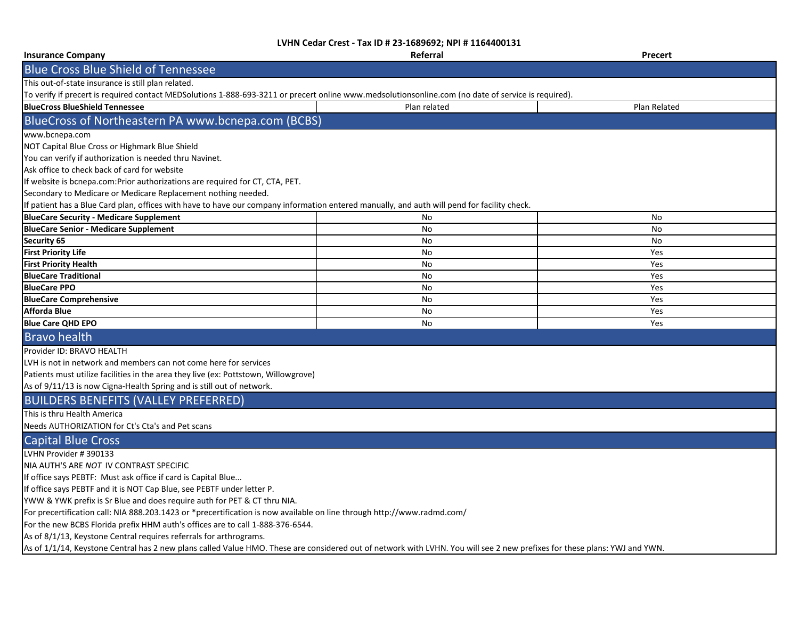| <b>Insurance Company</b>                                                                                                                                                  | Referral     | Precert      |
|---------------------------------------------------------------------------------------------------------------------------------------------------------------------------|--------------|--------------|
| <b>Blue Cross Blue Shield of Tennessee</b>                                                                                                                                |              |              |
| This out-of-state insurance is still plan related.                                                                                                                        |              |              |
| To verify if precert is required contact MEDSolutions 1-888-693-3211 or precert online www.medsolutionsonline.com (no date of service is required).                       |              |              |
| <b>BlueCross BlueShield Tennessee</b>                                                                                                                                     | Plan related | Plan Related |
| BlueCross of Northeastern PA www.bcnepa.com (BCBS)                                                                                                                        |              |              |
| www.bcnepa.com                                                                                                                                                            |              |              |
| NOT Capital Blue Cross or Highmark Blue Shield                                                                                                                            |              |              |
| You can verify if authorization is needed thru Navinet.                                                                                                                   |              |              |
| Ask office to check back of card for website                                                                                                                              |              |              |
| If website is bcnepa.com: Prior authorizations are required for CT, CTA, PET.                                                                                             |              |              |
| Secondary to Medicare or Medicare Replacement nothing needed.                                                                                                             |              |              |
| If patient has a Blue Card plan, offices with have to have our company information entered manually, and auth will pend for facility check.                               |              |              |
| <b>BlueCare Security - Medicare Supplement</b>                                                                                                                            | No           | No           |
| <b>BlueCare Senior - Medicare Supplement</b>                                                                                                                              | No           | No           |
| <b>Security 65</b>                                                                                                                                                        | No           | No           |
| <b>First Priority Life</b>                                                                                                                                                | No           | Yes          |
| <b>First Priority Health</b>                                                                                                                                              | No           | Yes          |
| <b>BlueCare Traditional</b>                                                                                                                                               | No           | Yes          |
| <b>BlueCare PPO</b>                                                                                                                                                       | No           | Yes          |
| <b>BlueCare Comprehensive</b>                                                                                                                                             | No           | Yes          |
| <b>Afforda Blue</b>                                                                                                                                                       | <b>No</b>    | Yes          |
| <b>Blue Care QHD EPO</b>                                                                                                                                                  | No           | Yes          |
| <b>Bravo health</b>                                                                                                                                                       |              |              |
| Provider ID: BRAVO HEALTH                                                                                                                                                 |              |              |
| LVH is not in network and members can not come here for services                                                                                                          |              |              |
| Patients must utilize facilities in the area they live (ex: Pottstown, Willowgrove)                                                                                       |              |              |
| As of 9/11/13 is now Cigna-Health Spring and is still out of network.                                                                                                     |              |              |
| <b>BUILDERS BENEFITS (VALLEY PREFERRED)</b>                                                                                                                               |              |              |
| This is thru Health America                                                                                                                                               |              |              |
| Needs AUTHORIZATION for Ct's Cta's and Pet scans                                                                                                                          |              |              |
| <b>Capital Blue Cross</b>                                                                                                                                                 |              |              |
| LVHN Provider #390133                                                                                                                                                     |              |              |
| NIA AUTH'S ARE NOT IV CONTRAST SPECIFIC                                                                                                                                   |              |              |
| If office says PEBTF: Must ask office if card is Capital Blue                                                                                                             |              |              |
| If office says PEBTF and it is NOT Cap Blue, see PEBTF under letter P.                                                                                                    |              |              |
| YWW & YWK prefix is Sr Blue and does require auth for PET & CT thru NIA.                                                                                                  |              |              |
| For precertification call: NIA 888.203.1423 or *precertification is now available on line through http://www.radmd.com/                                                   |              |              |
| For the new BCBS Florida prefix HHM auth's offices are to call 1-888-376-6544.                                                                                            |              |              |
| As of 8/1/13, Keystone Central requires referrals for arthrograms.                                                                                                        |              |              |
| As of 1/1/14, Keystone Central has 2 new plans called Value HMO. These are considered out of network with LVHN. You will see 2 new prefixes for these plans: YWJ and YWN. |              |              |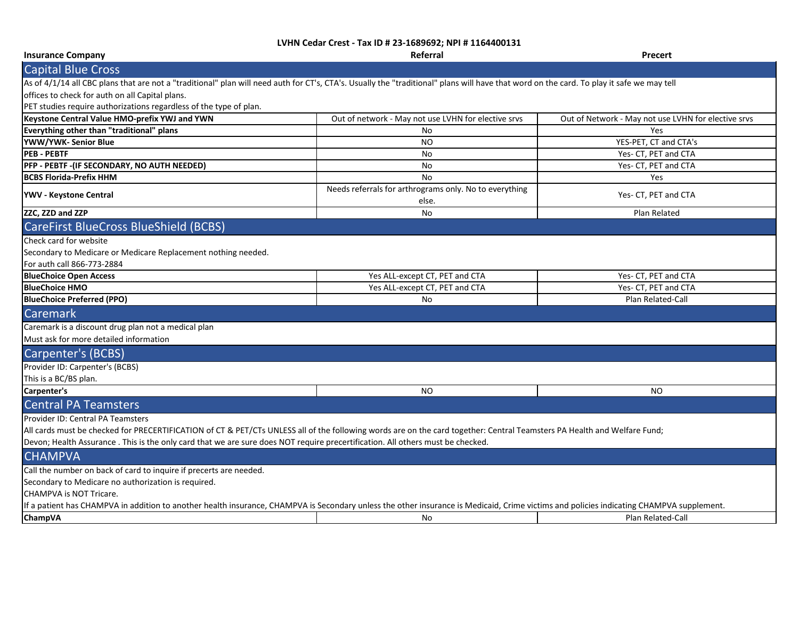| <b>Insurance Company</b>                                                                                                                                                                                                                                                                                                                               | $C_1C_2C - T(X_1D + Z) - 100JUZ$<br>Referral                    | <b>Precert</b>                                      |
|--------------------------------------------------------------------------------------------------------------------------------------------------------------------------------------------------------------------------------------------------------------------------------------------------------------------------------------------------------|-----------------------------------------------------------------|-----------------------------------------------------|
| <b>Capital Blue Cross</b>                                                                                                                                                                                                                                                                                                                              |                                                                 |                                                     |
| As of 4/1/14 all CBC plans that are not a "traditional" plan will need auth for CT's, CTA's. Usually the "traditional" plans will have that word on the card. To play it safe we may tell                                                                                                                                                              |                                                                 |                                                     |
| offices to check for auth on all Capital plans.                                                                                                                                                                                                                                                                                                        |                                                                 |                                                     |
| PET studies require authorizations regardless of the type of plan.                                                                                                                                                                                                                                                                                     |                                                                 |                                                     |
| Keystone Central Value HMO-prefix YWJ and YWN                                                                                                                                                                                                                                                                                                          | Out of network - May not use LVHN for elective srvs             | Out of Network - May not use LVHN for elective srvs |
| Everything other than "traditional" plans                                                                                                                                                                                                                                                                                                              | No                                                              | Yes                                                 |
| YWW/YWK- Senior Blue                                                                                                                                                                                                                                                                                                                                   | NO                                                              | YES-PET, CT and CTA's                               |
| <b>PEB - PEBTF</b>                                                                                                                                                                                                                                                                                                                                     | No                                                              | Yes- CT, PET and CTA                                |
| PFP - PEBTF - (IF SECONDARY, NO AUTH NEEDED)                                                                                                                                                                                                                                                                                                           | $\mathsf{No}$                                                   | Yes- CT, PET and CTA                                |
| <b>BCBS Florida-Prefix HHM</b>                                                                                                                                                                                                                                                                                                                         | <b>No</b>                                                       | Yes                                                 |
| YWV - Keystone Central                                                                                                                                                                                                                                                                                                                                 | Needs referrals for arthrograms only. No to everything<br>else. | Yes- CT, PET and CTA                                |
| ZZC, ZZD and ZZP                                                                                                                                                                                                                                                                                                                                       | No                                                              | Plan Related                                        |
| CareFirst BlueCross BlueShield (BCBS)                                                                                                                                                                                                                                                                                                                  |                                                                 |                                                     |
| Check card for website<br>Secondary to Medicare or Medicare Replacement nothing needed.<br>For auth call 866-773-2884                                                                                                                                                                                                                                  |                                                                 |                                                     |
| <b>BlueChoice Open Access</b>                                                                                                                                                                                                                                                                                                                          | Yes ALL-except CT, PET and CTA                                  | Yes- CT, PET and CTA                                |
| <b>BlueChoice HMO</b>                                                                                                                                                                                                                                                                                                                                  | Yes ALL-except CT, PET and CTA                                  | Yes- CT, PET and CTA                                |
| <b>BlueChoice Preferred (PPO)</b>                                                                                                                                                                                                                                                                                                                      | No                                                              | Plan Related-Call                                   |
| Caremark                                                                                                                                                                                                                                                                                                                                               |                                                                 |                                                     |
| Caremark is a discount drug plan not a medical plan<br>Must ask for more detailed information                                                                                                                                                                                                                                                          |                                                                 |                                                     |
| <b>Carpenter's (BCBS)</b>                                                                                                                                                                                                                                                                                                                              |                                                                 |                                                     |
| Provider ID: Carpenter's (BCBS)<br>This is a BC/BS plan.                                                                                                                                                                                                                                                                                               |                                                                 |                                                     |
| Carpenter's                                                                                                                                                                                                                                                                                                                                            | <b>NO</b>                                                       | <b>NO</b>                                           |
| <b>Central PA Teamsters</b>                                                                                                                                                                                                                                                                                                                            |                                                                 |                                                     |
| <b>Provider ID: Central PA Teamsters</b><br>All cards must be checked for PRECERTIFICATION of CT & PET/CTs UNLESS all of the following words are on the card together: Central Teamsters PA Health and Welfare Fund;<br>Devon; Health Assurance. This is the only card that we are sure does NOT require precertification. All others must be checked. |                                                                 |                                                     |
| <b>CHAMPVA</b>                                                                                                                                                                                                                                                                                                                                         |                                                                 |                                                     |
| Call the number on back of card to inquire if precerts are needed.<br>Secondary to Medicare no authorization is required.<br>CHAMPVA is NOT Tricare.                                                                                                                                                                                                   |                                                                 |                                                     |
| If a patient has CHAMPVA in addition to another health insurance, CHAMPVA is Secondary unless the other insurance is Medicaid, Crime victims and policies indicating CHAMPVA supplement.                                                                                                                                                               |                                                                 |                                                     |
| ChampVA                                                                                                                                                                                                                                                                                                                                                | No                                                              | Plan Related-Call                                   |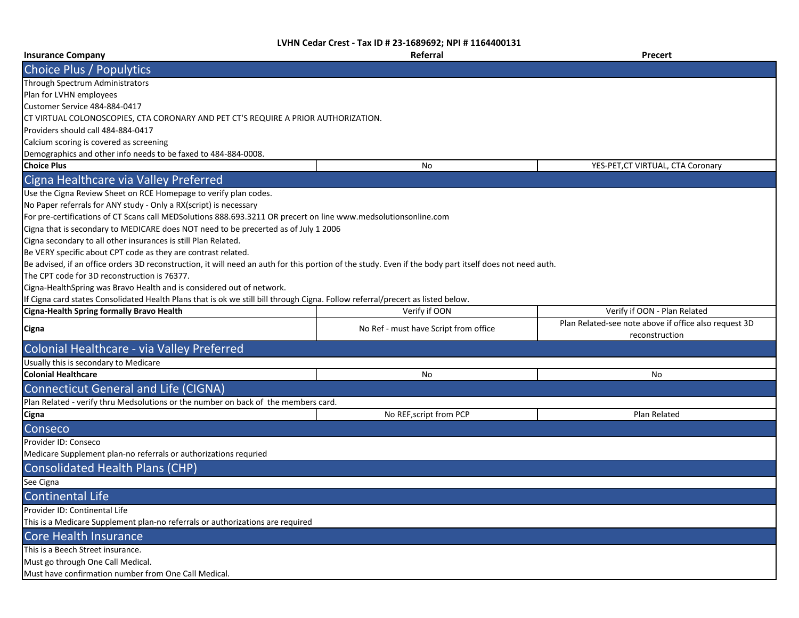| <b>Insurance Company</b>                                                                                                                                | Referral                              | <b>Precert</b>                                        |
|---------------------------------------------------------------------------------------------------------------------------------------------------------|---------------------------------------|-------------------------------------------------------|
| Choice Plus / Populytics                                                                                                                                |                                       |                                                       |
| Through Spectrum Administrators                                                                                                                         |                                       |                                                       |
| Plan for LVHN employees                                                                                                                                 |                                       |                                                       |
| Customer Service 484-884-0417                                                                                                                           |                                       |                                                       |
| CT VIRTUAL COLONOSCOPIES, CTA CORONARY AND PET CT'S REQUIRE A PRIOR AUTHORIZATION.                                                                      |                                       |                                                       |
| Providers should call 484-884-0417                                                                                                                      |                                       |                                                       |
| Calcium scoring is covered as screening                                                                                                                 |                                       |                                                       |
| Demographics and other info needs to be faxed to 484-884-0008.                                                                                          |                                       |                                                       |
| <b>Choice Plus</b>                                                                                                                                      | No                                    | YES-PET, CT VIRTUAL, CTA Coronary                     |
| Cigna Healthcare via Valley Preferred                                                                                                                   |                                       |                                                       |
| Use the Cigna Review Sheet on RCE Homepage to verify plan codes.                                                                                        |                                       |                                                       |
| No Paper referrals for ANY study - Only a RX(script) is necessary                                                                                       |                                       |                                                       |
| For pre-certifications of CT Scans call MEDSolutions 888.693.3211 OR precert on line www.medsolutionsonline.com                                         |                                       |                                                       |
| Cigna that is secondary to MEDICARE does NOT need to be precerted as of July 1 2006                                                                     |                                       |                                                       |
| Cigna secondary to all other insurances is still Plan Related.                                                                                          |                                       |                                                       |
| Be VERY specific about CPT code as they are contrast related.                                                                                           |                                       |                                                       |
| Be advised, if an office orders 3D reconstruction, it will need an auth for this portion of the study. Even if the body part itself does not need auth. |                                       |                                                       |
| The CPT code for 3D reconstruction is 76377.                                                                                                            |                                       |                                                       |
| Cigna-HealthSpring was Bravo Health and is considered out of network.                                                                                   |                                       |                                                       |
| If Cigna card states Consolidated Health Plans that is ok we still bill through Cigna. Follow referral/precert as listed below.                         |                                       |                                                       |
| Cigna-Health Spring formally Bravo Health                                                                                                               | Verify if OON                         | Verify if OON - Plan Related                          |
|                                                                                                                                                         |                                       | Plan Related-see note above if office also request 3D |
| Cigna                                                                                                                                                   | No Ref - must have Script from office | reconstruction                                        |
| Colonial Healthcare - via Valley Preferred                                                                                                              |                                       |                                                       |
| Usually this is secondary to Medicare                                                                                                                   |                                       |                                                       |
| <b>Colonial Healthcare</b>                                                                                                                              | No                                    | No                                                    |
| <b>Connecticut General and Life (CIGNA)</b>                                                                                                             |                                       |                                                       |
| Plan Related - verify thru Medsolutions or the number on back of the members card.                                                                      |                                       |                                                       |
| Cigna                                                                                                                                                   | No REF, script from PCP               | Plan Related                                          |
| Conseco                                                                                                                                                 |                                       |                                                       |
| Provider ID: Conseco                                                                                                                                    |                                       |                                                       |
| Medicare Supplement plan-no referrals or authorizations requried                                                                                        |                                       |                                                       |
| <b>Consolidated Health Plans (CHP)</b>                                                                                                                  |                                       |                                                       |
| See Cigna                                                                                                                                               |                                       |                                                       |
| <b>Continental Life</b>                                                                                                                                 |                                       |                                                       |
| Provider ID: Continental Life                                                                                                                           |                                       |                                                       |
| This is a Medicare Supplement plan-no referrals or authorizations are required                                                                          |                                       |                                                       |
| <b>Core Health Insurance</b>                                                                                                                            |                                       |                                                       |
| This is a Beech Street insurance.                                                                                                                       |                                       |                                                       |
| Must go through One Call Medical.                                                                                                                       |                                       |                                                       |
| Must have confirmation number from One Call Medical.                                                                                                    |                                       |                                                       |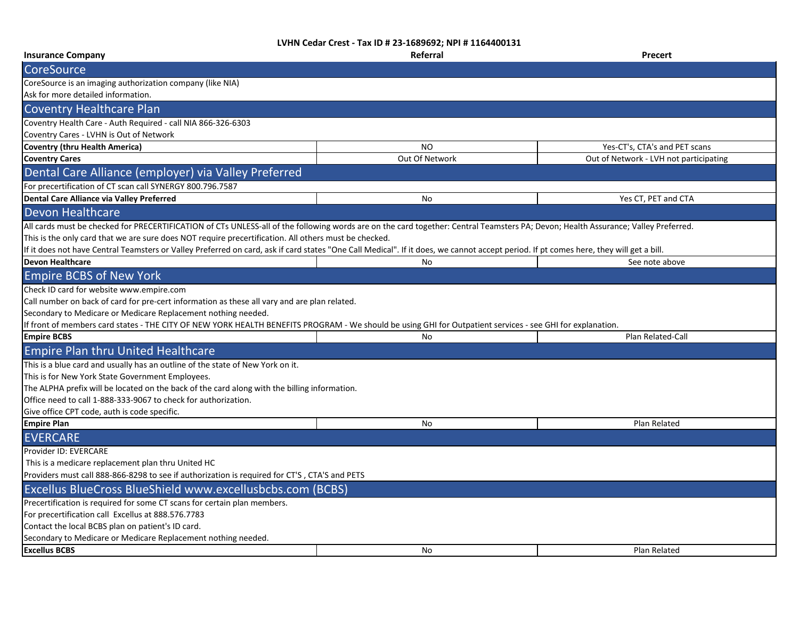| <b>Insurance Company</b>                                                                                                                                                               | Referral       | <b>Precert</b>                         |
|----------------------------------------------------------------------------------------------------------------------------------------------------------------------------------------|----------------|----------------------------------------|
| <b>CoreSource</b>                                                                                                                                                                      |                |                                        |
| CoreSource is an imaging authorization company (like NIA)                                                                                                                              |                |                                        |
| Ask for more detailed information.                                                                                                                                                     |                |                                        |
| <b>Coventry Healthcare Plan</b>                                                                                                                                                        |                |                                        |
| Coventry Health Care - Auth Required - call NIA 866-326-6303                                                                                                                           |                |                                        |
| Coventry Cares - LVHN is Out of Network                                                                                                                                                |                |                                        |
| <b>Coventry (thru Health America)</b>                                                                                                                                                  | <b>NO</b>      | Yes-CT's, CTA's and PET scans          |
| <b>Coventry Cares</b>                                                                                                                                                                  | Out Of Network | Out of Network - LVH not participating |
| Dental Care Alliance (employer) via Valley Preferred                                                                                                                                   |                |                                        |
| For precertification of CT scan call SYNERGY 800.796.7587                                                                                                                              |                |                                        |
| Dental Care Alliance via Valley Preferred                                                                                                                                              | No             | Yes CT, PET and CTA                    |
| <b>Devon Healthcare</b>                                                                                                                                                                |                |                                        |
| All cards must be checked for PRECERTIFICATION of CTs UNLESS-all of the following words are on the card together: Central Teamsters PA; Devon; Health Assurance; Valley Preferred.     |                |                                        |
| This is the only card that we are sure does NOT require precertification. All others must be checked.                                                                                  |                |                                        |
| If it does not have Central Teamsters or Valley Preferred on card, ask if card states "One Call Medical". If it does, we cannot accept period. If pt comes here, they will get a bill. |                |                                        |
| <b>Devon Healthcare</b>                                                                                                                                                                | No             | See note above                         |
| <b>Empire BCBS of New York</b>                                                                                                                                                         |                |                                        |
| Check ID card for website www.empire.com                                                                                                                                               |                |                                        |
| Call number on back of card for pre-cert information as these all vary and are plan related.                                                                                           |                |                                        |
| Secondary to Medicare or Medicare Replacement nothing needed.                                                                                                                          |                |                                        |
| If front of members card states - THE CITY OF NEW YORK HEALTH BENEFITS PROGRAM - We should be using GHI for Outpatient services - see GHI for explanation.                             |                |                                        |
| <b>Empire BCBS</b>                                                                                                                                                                     | No             | Plan Related-Call                      |
| <b>Empire Plan thru United Healthcare</b>                                                                                                                                              |                |                                        |
| This is a blue card and usually has an outline of the state of New York on it.                                                                                                         |                |                                        |
| This is for New York State Government Employees.                                                                                                                                       |                |                                        |
| The ALPHA prefix will be located on the back of the card along with the billing information.                                                                                           |                |                                        |
| Office need to call 1-888-333-9067 to check for authorization.                                                                                                                         |                |                                        |
| Give office CPT code, auth is code specific.                                                                                                                                           |                |                                        |
| <b>Empire Plan</b>                                                                                                                                                                     | No             | Plan Related                           |
| <b>EVERCARE</b>                                                                                                                                                                        |                |                                        |
| Provider ID: EVERCARE                                                                                                                                                                  |                |                                        |
| This is a medicare replacement plan thru United HC                                                                                                                                     |                |                                        |
| Providers must call 888-866-8298 to see if authorization is required for CT'S, CTA'S and PETS                                                                                          |                |                                        |
| Excellus BlueCross BlueShield www.excellusbcbs.com (BCBS)                                                                                                                              |                |                                        |
| Precertification is required for some CT scans for certain plan members.                                                                                                               |                |                                        |
| For precertification call Excellus at 888.576.7783                                                                                                                                     |                |                                        |
| Contact the local BCBS plan on patient's ID card.                                                                                                                                      |                |                                        |
| Secondary to Medicare or Medicare Replacement nothing needed.                                                                                                                          |                |                                        |
| <b>Excellus BCBS</b>                                                                                                                                                                   | No             | Plan Related                           |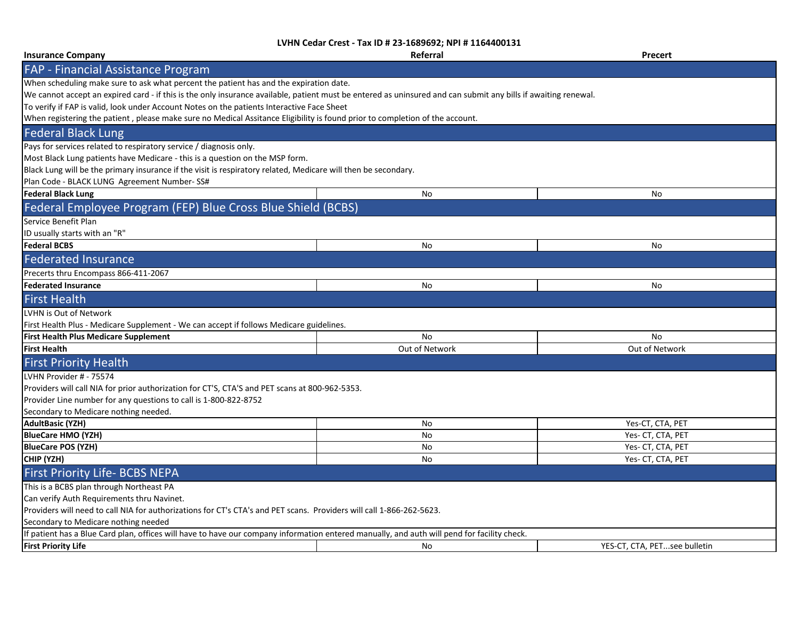|                                                                                                                                                                | <b>LVHIN CEQAL CLEST - 198 ID # 25-1089092; INFI # 1104400131</b> |                              |
|----------------------------------------------------------------------------------------------------------------------------------------------------------------|-------------------------------------------------------------------|------------------------------|
| <b>Insurance Company</b>                                                                                                                                       | Referral                                                          | <b>Precert</b>               |
| <b>FAP - Financial Assistance Program</b>                                                                                                                      |                                                                   |                              |
| When scheduling make sure to ask what percent the patient has and the expiration date.                                                                         |                                                                   |                              |
| We cannot accept an expired card - if this is the only insurance available, patient must be entered as uninsured and can submit any bills if awaiting renewal. |                                                                   |                              |
| To verify if FAP is valid, look under Account Notes on the patients Interactive Face Sheet                                                                     |                                                                   |                              |
| When registering the patient, please make sure no Medical Assitance Eligibility is found prior to completion of the account.                                   |                                                                   |                              |
| <b>Federal Black Lung</b>                                                                                                                                      |                                                                   |                              |
| Pays for services related to respiratory service / diagnosis only.                                                                                             |                                                                   |                              |
| Most Black Lung patients have Medicare - this is a question on the MSP form.                                                                                   |                                                                   |                              |
| Black Lung will be the primary insurance if the visit is respiratory related, Medicare will then be secondary.                                                 |                                                                   |                              |
| Plan Code - BLACK LUNG Agreement Number-SS#                                                                                                                    |                                                                   |                              |
| <b>Federal Black Lung</b>                                                                                                                                      | No                                                                | No                           |
| Federal Employee Program (FEP) Blue Cross Blue Shield (BCBS)                                                                                                   |                                                                   |                              |
| Service Benefit Plan                                                                                                                                           |                                                                   |                              |
| ID usually starts with an "R"                                                                                                                                  |                                                                   |                              |
| <b>Federal BCBS</b>                                                                                                                                            | No                                                                | No                           |
| <b>Federated Insurance</b>                                                                                                                                     |                                                                   |                              |
| Precerts thru Encompass 866-411-2067                                                                                                                           |                                                                   |                              |
| <b>Federated Insurance</b>                                                                                                                                     | No                                                                | No                           |
| <b>First Health</b>                                                                                                                                            |                                                                   |                              |
| LVHN is Out of Network                                                                                                                                         |                                                                   |                              |
| First Health Plus - Medicare Supplement - We can accept if follows Medicare guidelines.                                                                        |                                                                   |                              |
| <b>First Health Plus Medicare Supplement</b>                                                                                                                   | No                                                                | No                           |
| <b>First Health</b>                                                                                                                                            | Out of Network                                                    | Out of Network               |
| <b>First Priority Health</b>                                                                                                                                   |                                                                   |                              |
| LVHN Provider # - 75574                                                                                                                                        |                                                                   |                              |
| Providers will call NIA for prior authorization for CT'S, CTA'S and PET scans at 800-962-5353.                                                                 |                                                                   |                              |
| Provider Line number for any questions to call is 1-800-822-8752                                                                                               |                                                                   |                              |
| Secondary to Medicare nothing needed.                                                                                                                          |                                                                   |                              |
| AdultBasic (YZH)                                                                                                                                               | No                                                                | Yes-CT, CTA, PET             |
| <b>BlueCare HMO (YZH)</b>                                                                                                                                      | No                                                                | Yes- CT, CTA, PET            |
| <b>BlueCare POS (YZH)</b>                                                                                                                                      | No                                                                | Yes- CT, CTA, PET            |
| CHIP (YZH)                                                                                                                                                     | No                                                                | Yes- CT, CTA, PET            |
| <b>First Priority Life- BCBS NEPA</b>                                                                                                                          |                                                                   |                              |
| This is a BCBS plan through Northeast PA                                                                                                                       |                                                                   |                              |
| Can verify Auth Requirements thru Navinet.                                                                                                                     |                                                                   |                              |
| Providers will need to call NIA for authorizations for CT's CTA's and PET scans. Providers will call 1-866-262-5623.                                           |                                                                   |                              |
| Secondary to Medicare nothing needed                                                                                                                           |                                                                   |                              |
| If patient has a Blue Card plan, offices will have to have our company information entered manually, and auth will pend for facility check.                    |                                                                   |                              |
| <b>First Priority Life</b>                                                                                                                                     | No                                                                | YES-CT, CTA, PETsee bulletin |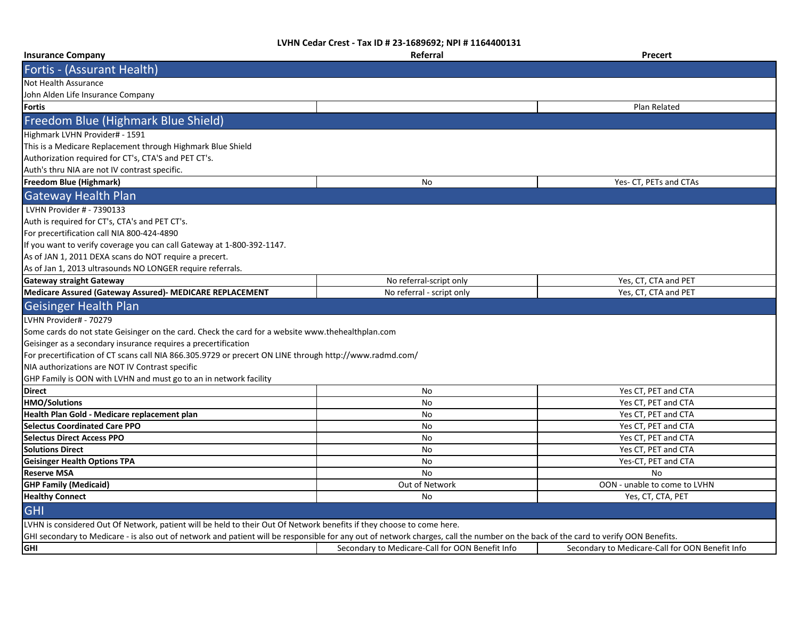| <b>Insurance Company</b>                                                                                                                                                           | Referral                                        | Precert                                         |
|------------------------------------------------------------------------------------------------------------------------------------------------------------------------------------|-------------------------------------------------|-------------------------------------------------|
| Fortis - (Assurant Health)                                                                                                                                                         |                                                 |                                                 |
| Not Health Assurance                                                                                                                                                               |                                                 |                                                 |
| John Alden Life Insurance Company                                                                                                                                                  |                                                 |                                                 |
| <b>Fortis</b>                                                                                                                                                                      |                                                 | Plan Related                                    |
| Freedom Blue (Highmark Blue Shield)                                                                                                                                                |                                                 |                                                 |
| Highmark LVHN Provider# - 1591                                                                                                                                                     |                                                 |                                                 |
| This is a Medicare Replacement through Highmark Blue Shield                                                                                                                        |                                                 |                                                 |
| Authorization required for CT's, CTA'S and PET CT's.                                                                                                                               |                                                 |                                                 |
| Auth's thru NIA are not IV contrast specific.                                                                                                                                      |                                                 |                                                 |
| <b>Freedom Blue (Highmark)</b>                                                                                                                                                     | No                                              | Yes- CT, PETs and CTAs                          |
| <b>Gateway Health Plan</b>                                                                                                                                                         |                                                 |                                                 |
| LVHN Provider # - 7390133                                                                                                                                                          |                                                 |                                                 |
| Auth is required for CT's, CTA's and PET CT's.                                                                                                                                     |                                                 |                                                 |
| For precertification call NIA 800-424-4890                                                                                                                                         |                                                 |                                                 |
| If you want to verify coverage you can call Gateway at 1-800-392-1147.                                                                                                             |                                                 |                                                 |
| As of JAN 1, 2011 DEXA scans do NOT require a precert.                                                                                                                             |                                                 |                                                 |
| As of Jan 1, 2013 ultrasounds NO LONGER require referrals.                                                                                                                         |                                                 |                                                 |
| <b>Gateway straight Gateway</b>                                                                                                                                                    | No referral-script only                         | Yes, CT, CTA and PET                            |
| Medicare Assured (Gateway Assured)- MEDICARE REPLACEMENT                                                                                                                           | No referral - script only                       | Yes, CT, CTA and PET                            |
| <b>Geisinger Health Plan</b>                                                                                                                                                       |                                                 |                                                 |
| LVHN Provider# - 70279                                                                                                                                                             |                                                 |                                                 |
| Some cards do not state Geisinger on the card. Check the card for a website www.thehealthplan.com                                                                                  |                                                 |                                                 |
| Geisinger as a secondary insurance requires a precertification                                                                                                                     |                                                 |                                                 |
| For precertification of CT scans call NIA 866.305.9729 or precert ON LINE through http://www.radmd.com/                                                                            |                                                 |                                                 |
| NIA authorizations are NOT IV Contrast specific                                                                                                                                    |                                                 |                                                 |
| GHP Family is OON with LVHN and must go to an in network facility                                                                                                                  |                                                 |                                                 |
| <b>Direct</b>                                                                                                                                                                      | No                                              | Yes CT, PET and CTA                             |
| <b>HMO/Solutions</b>                                                                                                                                                               | No                                              | Yes CT, PET and CTA                             |
| Health Plan Gold - Medicare replacement plan                                                                                                                                       | No                                              | Yes CT, PET and CTA                             |
| <b>Selectus Coordinated Care PPO</b>                                                                                                                                               | No                                              | Yes CT, PET and CTA                             |
| <b>Selectus Direct Access PPO</b>                                                                                                                                                  | No                                              | Yes CT, PET and CTA                             |
| <b>Solutions Direct</b>                                                                                                                                                            | No                                              | Yes CT, PET and CTA                             |
| <b>Geisinger Health Options TPA</b>                                                                                                                                                | No                                              | Yes-CT, PET and CTA                             |
| <b>Reserve MSA</b>                                                                                                                                                                 | <b>No</b>                                       | <b>No</b>                                       |
| <b>GHP Family (Medicaid)</b>                                                                                                                                                       | Out of Network                                  | OON - unable to come to LVHN                    |
| <b>Healthy Connect</b>                                                                                                                                                             | No                                              | Yes, CT, CTA, PET                               |
| <b>GHI</b>                                                                                                                                                                         |                                                 |                                                 |
| LVHN is considered Out Of Network, patient will be held to their Out Of Network benefits if they choose to come here.                                                              |                                                 |                                                 |
| GHI secondary to Medicare - is also out of network and patient will be responsible for any out of network charges, call the number on the back of the card to verify OON Benefits. |                                                 |                                                 |
| <b>GHI</b>                                                                                                                                                                         | Secondary to Medicare-Call for OON Benefit Info | Secondary to Medicare-Call for OON Benefit Info |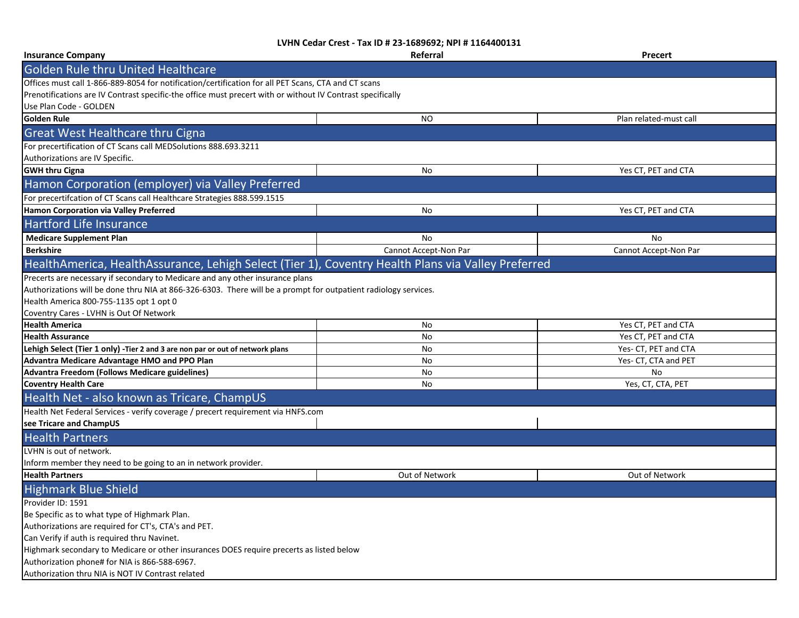| <b>Insurance Company</b>                                                                                        | Referral              | Precert                |
|-----------------------------------------------------------------------------------------------------------------|-----------------------|------------------------|
| <b>Golden Rule thru United Healthcare</b>                                                                       |                       |                        |
| Offices must call 1-866-889-8054 for notification/certification for all PET Scans, CTA and CT scans             |                       |                        |
| Prenotifications are IV Contrast specific-the office must precert with or without IV Contrast specifically      |                       |                        |
| Use Plan Code - GOLDEN                                                                                          |                       |                        |
| Golden Rule                                                                                                     | NO.                   | Plan related-must call |
| <b>Great West Healthcare thru Cigna</b>                                                                         |                       |                        |
| For precertification of CT Scans call MEDSolutions 888.693.3211                                                 |                       |                        |
| Authorizations are IV Specific.                                                                                 |                       |                        |
| <b>GWH thru Cigna</b>                                                                                           | No                    | Yes CT, PET and CTA    |
| Hamon Corporation (employer) via Valley Preferred                                                               |                       |                        |
| For precertifcation of CT Scans call Healthcare Strategies 888.599.1515                                         |                       |                        |
| Hamon Corporation via Valley Preferred                                                                          | No                    | Yes CT, PET and CTA    |
| <b>Hartford Life Insurance</b>                                                                                  |                       |                        |
| <b>Medicare Supplement Plan</b>                                                                                 | No                    | No                     |
| <b>Berkshire</b>                                                                                                | Cannot Accept-Non Par | Cannot Accept-Non Par  |
| HealthAmerica, HealthAssurance, Lehigh Select (Tier 1), Coventry Health Plans via Valley Preferred              |                       |                        |
| Precerts are necessary if secondary to Medicare and any other insurance plans                                   |                       |                        |
| Authorizations will be done thru NIA at 866-326-6303. There will be a prompt for outpatient radiology services. |                       |                        |
| Health America 800-755-1135 opt 1 opt 0                                                                         |                       |                        |
| Coventry Cares - LVHN is Out Of Network                                                                         |                       |                        |
| <b>Health America</b>                                                                                           | No                    | Yes CT, PET and CTA    |
| <b>Health Assurance</b>                                                                                         | No                    | Yes CT, PET and CTA    |
| Lehigh Select (Tier 1 only) -Tier 2 and 3 are non par or out of network plans                                   | No                    | Yes- CT, PET and CTA   |
| Advantra Medicare Advantage HMO and PPO Plan                                                                    | No.                   | Yes- CT, CTA and PET   |
| Advantra Freedom (Follows Medicare guidelines)                                                                  | No                    | No                     |
| <b>Coventry Health Care</b>                                                                                     | No                    | Yes, CT, CTA, PET      |
| Health Net - also known as Tricare, ChampUS                                                                     |                       |                        |
| Health Net Federal Services - verify coverage / precert requirement via HNFS.com                                |                       |                        |
| see Tricare and ChampUS                                                                                         |                       |                        |
| <b>Health Partners</b>                                                                                          |                       |                        |
| LVHN is out of network.                                                                                         |                       |                        |
| Inform member they need to be going to an in network provider.                                                  |                       |                        |
| <b>Health Partners</b>                                                                                          | Out of Network        | Out of Network         |
| <b>Highmark Blue Shield</b>                                                                                     |                       |                        |
| Provider ID: 1591                                                                                               |                       |                        |
| Be Specific as to what type of Highmark Plan.                                                                   |                       |                        |
| Authorizations are required for CT's, CTA's and PET.                                                            |                       |                        |
| Can Verify if auth is required thru Navinet.                                                                    |                       |                        |
| Highmark secondary to Medicare or other insurances DOES require precerts as listed below                        |                       |                        |
| Authorization phone# for NIA is 866-588-6967.                                                                   |                       |                        |
| Authorization thru NIA is NOT IV Contrast related                                                               |                       |                        |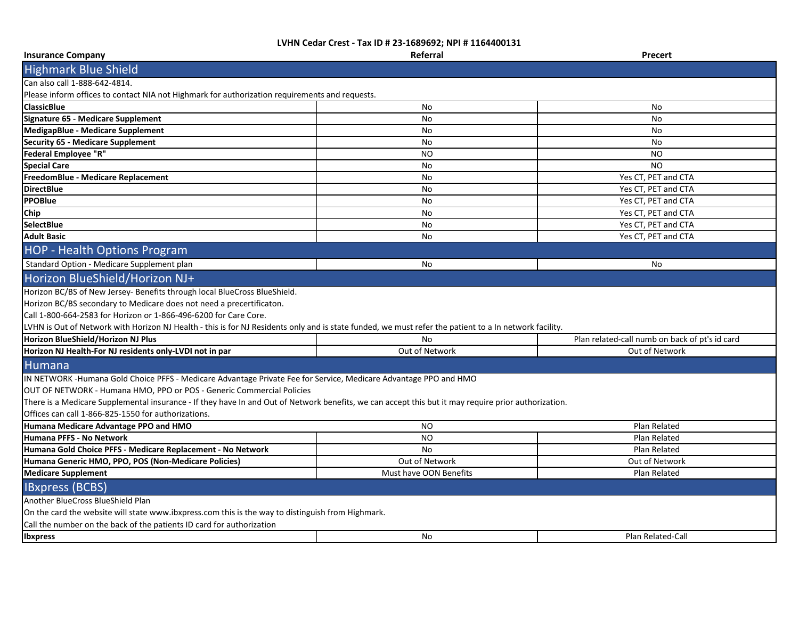| <b>Insurance Company</b>                                                                                                                                                                                                                                                                                                                                                        | Referral               | Precert                                        |  |
|---------------------------------------------------------------------------------------------------------------------------------------------------------------------------------------------------------------------------------------------------------------------------------------------------------------------------------------------------------------------------------|------------------------|------------------------------------------------|--|
| <b>Highmark Blue Shield</b>                                                                                                                                                                                                                                                                                                                                                     |                        |                                                |  |
| Can also call 1-888-642-4814.                                                                                                                                                                                                                                                                                                                                                   |                        |                                                |  |
| Please inform offices to contact NIA not Highmark for authorization requirements and requests.                                                                                                                                                                                                                                                                                  |                        |                                                |  |
| <b>ClassicBlue</b>                                                                                                                                                                                                                                                                                                                                                              | No                     | No                                             |  |
| Signature 65 - Medicare Supplement                                                                                                                                                                                                                                                                                                                                              | <b>No</b>              | No                                             |  |
| <b>MedigapBlue - Medicare Supplement</b>                                                                                                                                                                                                                                                                                                                                        | No                     | No                                             |  |
| <b>Security 65 - Medicare Supplement</b>                                                                                                                                                                                                                                                                                                                                        | No                     | No                                             |  |
| <b>Federal Employee "R"</b>                                                                                                                                                                                                                                                                                                                                                     | <b>NO</b>              | <b>NO</b>                                      |  |
| <b>Special Care</b>                                                                                                                                                                                                                                                                                                                                                             | <b>No</b>              | <b>NO</b>                                      |  |
| FreedomBlue - Medicare Replacement                                                                                                                                                                                                                                                                                                                                              | No                     | Yes CT, PET and CTA                            |  |
| <b>DirectBlue</b>                                                                                                                                                                                                                                                                                                                                                               | No                     | Yes CT, PET and CTA                            |  |
| <b>PPOBlue</b>                                                                                                                                                                                                                                                                                                                                                                  | No                     | Yes CT, PET and CTA                            |  |
| Chip                                                                                                                                                                                                                                                                                                                                                                            | <b>No</b>              | Yes CT, PET and CTA                            |  |
| SelectBlue                                                                                                                                                                                                                                                                                                                                                                      | No                     | Yes CT, PET and CTA                            |  |
| <b>Adult Basic</b>                                                                                                                                                                                                                                                                                                                                                              | <b>No</b>              | Yes CT, PET and CTA                            |  |
| <b>HOP - Health Options Program</b>                                                                                                                                                                                                                                                                                                                                             |                        |                                                |  |
| Standard Option - Medicare Supplement plan                                                                                                                                                                                                                                                                                                                                      | <b>No</b>              | No                                             |  |
| Horizon BlueShield/Horizon NJ+                                                                                                                                                                                                                                                                                                                                                  |                        |                                                |  |
| Horizon BC/BS of New Jersey- Benefits through local BlueCross BlueShield.<br>Horizon BC/BS secondary to Medicare does not need a precertificaton.<br>Call 1-800-664-2583 for Horizon or 1-866-496-6200 for Care Core.<br>LVHN is Out of Network with Horizon NJ Health - this is for NJ Residents only and is state funded, we must refer the patient to a In network facility. |                        |                                                |  |
| Horizon BlueShield/Horizon NJ Plus                                                                                                                                                                                                                                                                                                                                              | No                     | Plan related-call numb on back of pt's id card |  |
| Horizon NJ Health-For NJ residents only-LVDI not in par                                                                                                                                                                                                                                                                                                                         | Out of Network         | Out of Network                                 |  |
|                                                                                                                                                                                                                                                                                                                                                                                 |                        |                                                |  |
| <b>Humana</b>                                                                                                                                                                                                                                                                                                                                                                   |                        |                                                |  |
| IN NETWORK -Humana Gold Choice PFFS - Medicare Advantage Private Fee for Service, Medicare Advantage PPO and HMO                                                                                                                                                                                                                                                                |                        |                                                |  |
| OUT OF NETWORK - Humana HMO, PPO or POS - Generic Commercial Policies<br>There is a Medicare Supplemental insurance - If they have In and Out of Network benefits, we can accept this but it may require prior authorization.<br>Offices can call 1-866-825-1550 for authorizations.                                                                                            |                        |                                                |  |
| Humana Medicare Advantage PPO and HMO                                                                                                                                                                                                                                                                                                                                           | <b>NO</b>              | Plan Related                                   |  |
| Humana PFFS - No Network                                                                                                                                                                                                                                                                                                                                                        | <b>NO</b>              | Plan Related                                   |  |
| Humana Gold Choice PFFS - Medicare Replacement - No Network                                                                                                                                                                                                                                                                                                                     | <b>No</b>              | Plan Related                                   |  |
| Humana Generic HMO, PPO, POS (Non-Medicare Policies)                                                                                                                                                                                                                                                                                                                            | Out of Network         | Out of Network                                 |  |
| <b>Medicare Supplement</b>                                                                                                                                                                                                                                                                                                                                                      | Must have OON Benefits | Plan Related                                   |  |
| <b>IBxpress (BCBS)</b>                                                                                                                                                                                                                                                                                                                                                          |                        |                                                |  |
| Another BlueCross BlueShield Plan                                                                                                                                                                                                                                                                                                                                               |                        |                                                |  |
| On the card the website will state www.ibxpress.com this is the way to distinguish from Highmark.                                                                                                                                                                                                                                                                               |                        |                                                |  |
| Call the number on the back of the patients ID card for authorization                                                                                                                                                                                                                                                                                                           |                        |                                                |  |
| <b>Ibxpress</b>                                                                                                                                                                                                                                                                                                                                                                 | No                     | Plan Related-Call                              |  |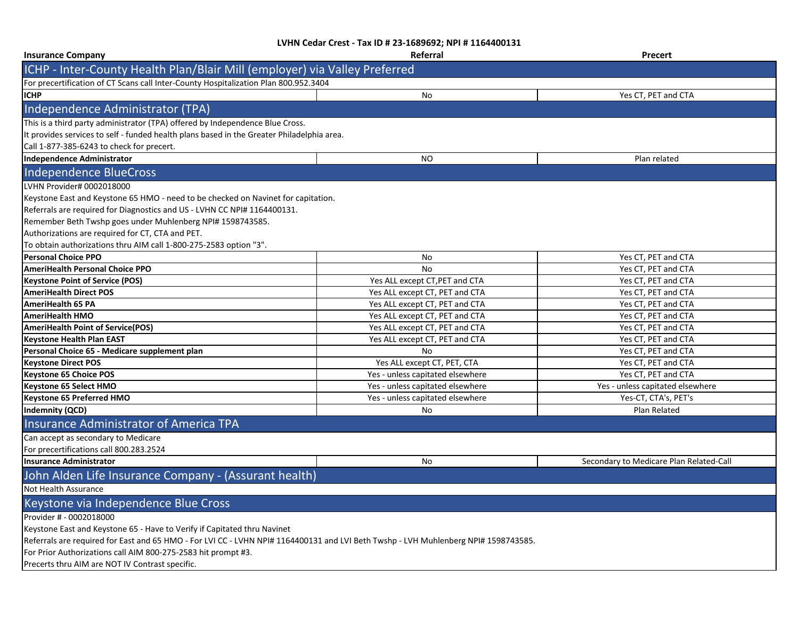| <b>Insurance Company</b>                                                                                                            | Referral                         | <b>Precert</b>                          |  |
|-------------------------------------------------------------------------------------------------------------------------------------|----------------------------------|-----------------------------------------|--|
| ICHP - Inter-County Health Plan/Blair Mill (employer) via Valley Preferred                                                          |                                  |                                         |  |
| For precertification of CT Scans call Inter-County Hospitalization Plan 800.952.3404                                                |                                  |                                         |  |
| <b>ICHP</b>                                                                                                                         | No                               | Yes CT, PET and CTA                     |  |
| Independence Administrator (TPA)                                                                                                    |                                  |                                         |  |
| This is a third party administrator (TPA) offered by Independence Blue Cross.                                                       |                                  |                                         |  |
| It provides services to self - funded health plans based in the Greater Philadelphia area.                                          |                                  |                                         |  |
| Call 1-877-385-6243 to check for precert.                                                                                           |                                  |                                         |  |
| <b>Independence Administrator</b>                                                                                                   | NO                               | Plan related                            |  |
| <b>Independence BlueCross</b>                                                                                                       |                                  |                                         |  |
| LVHN Provider# 0002018000                                                                                                           |                                  |                                         |  |
| Keystone East and Keystone 65 HMO - need to be checked on Navinet for capitation.                                                   |                                  |                                         |  |
| Referrals are required for Diagnostics and US - LVHN CC NPI# 1164400131.                                                            |                                  |                                         |  |
| Remember Beth Twshp goes under Muhlenberg NPI# 1598743585.                                                                          |                                  |                                         |  |
| Authorizations are required for CT, CTA and PET.                                                                                    |                                  |                                         |  |
| To obtain authorizations thru AIM call 1-800-275-2583 option "3".                                                                   |                                  |                                         |  |
| <b>Personal Choice PPO</b>                                                                                                          | No                               | Yes CT, PET and CTA                     |  |
| <b>AmeriHealth Personal Choice PPO</b>                                                                                              | No                               | Yes CT, PET and CTA                     |  |
| <b>Keystone Point of Service (POS)</b>                                                                                              | Yes ALL except CT, PET and CTA   | Yes CT, PET and CTA                     |  |
| <b>AmeriHealth Direct POS</b>                                                                                                       | Yes ALL except CT, PET and CTA   | Yes CT, PET and CTA                     |  |
| <b>AmeriHealth 65 PA</b>                                                                                                            | Yes ALL except CT, PET and CTA   | Yes CT, PET and CTA                     |  |
| <b>AmeriHealth HMO</b>                                                                                                              | Yes ALL except CT, PET and CTA   | Yes CT, PET and CTA                     |  |
| <b>AmeriHealth Point of Service(POS)</b>                                                                                            | Yes ALL except CT, PET and CTA   | Yes CT, PET and CTA                     |  |
| <b>Keystone Health Plan EAST</b>                                                                                                    | Yes ALL except CT, PET and CTA   | Yes CT, PET and CTA                     |  |
| Personal Choice 65 - Medicare supplement plan                                                                                       | No                               | Yes CT, PET and CTA                     |  |
| <b>Keystone Direct POS</b>                                                                                                          | Yes ALL except CT, PET, CTA      | Yes CT, PET and CTA                     |  |
| <b>Keystone 65 Choice POS</b>                                                                                                       | Yes - unless capitated elsewhere | Yes CT, PET and CTA                     |  |
| Keystone 65 Select HMO                                                                                                              | Yes - unless capitated elsewhere | Yes - unless capitated elsewhere        |  |
| <b>Keystone 65 Preferred HMO</b>                                                                                                    | Yes - unless capitated elsewhere | Yes-CT, CTA's, PET's                    |  |
| <b>Indemnity (QCD)</b>                                                                                                              | No                               | Plan Related                            |  |
| <b>Insurance Administrator of America TPA</b>                                                                                       |                                  |                                         |  |
| Can accept as secondary to Medicare                                                                                                 |                                  |                                         |  |
| For precertifications call 800.283.2524                                                                                             |                                  |                                         |  |
| <b>Insurance Administrator</b>                                                                                                      | No                               | Secondary to Medicare Plan Related-Call |  |
| John Alden Life Insurance Company - (Assurant health)                                                                               |                                  |                                         |  |
| Not Health Assurance                                                                                                                |                                  |                                         |  |
| Keystone via Independence Blue Cross                                                                                                |                                  |                                         |  |
| Provider # - 0002018000                                                                                                             |                                  |                                         |  |
| Keystone East and Keystone 65 - Have to Verify if Capitated thru Navinet                                                            |                                  |                                         |  |
| Referrals are required for East and 65 HMO - For LVI CC - LVHN NPI# 1164400131 and LVI Beth Twshp - LVH Muhlenberg NPI# 1598743585. |                                  |                                         |  |
| For Prior Authorizations call AIM 800-275-2583 hit prompt #3.                                                                       |                                  |                                         |  |
| Precerts thru AIM are NOT IV Contrast specific.                                                                                     |                                  |                                         |  |
|                                                                                                                                     |                                  |                                         |  |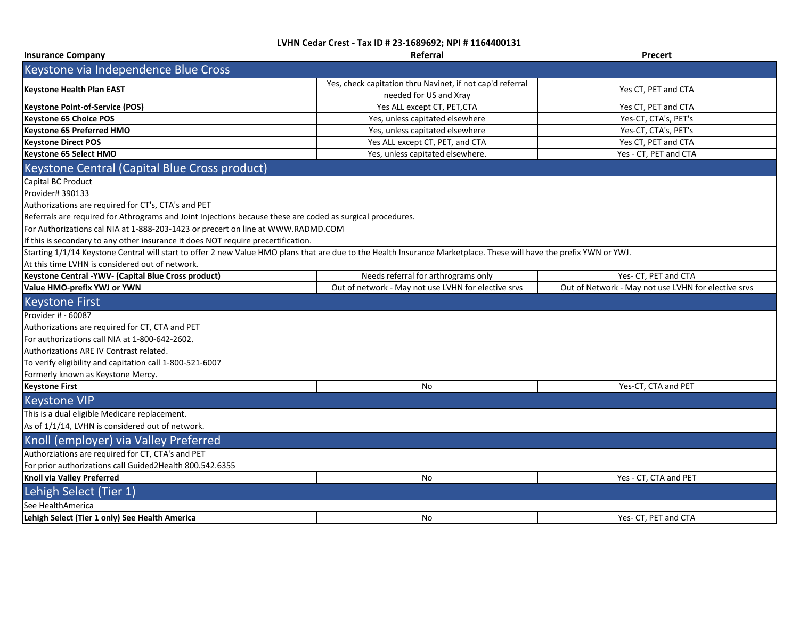| <b>Insurance Company</b>                                                                                                                                            | Referral                                                                            | <b>Precert</b>                                      |
|---------------------------------------------------------------------------------------------------------------------------------------------------------------------|-------------------------------------------------------------------------------------|-----------------------------------------------------|
| Keystone via Independence Blue Cross                                                                                                                                |                                                                                     |                                                     |
| <b>Keystone Health Plan EAST</b>                                                                                                                                    | Yes, check capitation thru Navinet, if not cap'd referral<br>needed for US and Xray | Yes CT, PET and CTA                                 |
| <b>Keystone Point-of-Service (POS)</b>                                                                                                                              | Yes ALL except CT, PET, CTA                                                         | Yes CT, PET and CTA                                 |
| <b>Keystone 65 Choice POS</b>                                                                                                                                       | Yes, unless capitated elsewhere                                                     | Yes-CT, CTA's, PET's                                |
| Keystone 65 Preferred HMO                                                                                                                                           | Yes, unless capitated elsewhere                                                     | Yes-CT, CTA's, PET's                                |
| <b>Keystone Direct POS</b>                                                                                                                                          | Yes ALL except CT, PET, and CTA                                                     | Yes CT, PET and CTA                                 |
| Keystone 65 Select HMO                                                                                                                                              | Yes, unless capitated elsewhere.                                                    | Yes - CT, PET and CTA                               |
| Keystone Central (Capital Blue Cross product)                                                                                                                       |                                                                                     |                                                     |
| Capital BC Product                                                                                                                                                  |                                                                                     |                                                     |
| Provider# 390133                                                                                                                                                    |                                                                                     |                                                     |
| Authorizations are required for CT's, CTA's and PET                                                                                                                 |                                                                                     |                                                     |
| Referrals are required for Athrograms and Joint Injections because these are coded as surgical procedures.                                                          |                                                                                     |                                                     |
| For Authorizations cal NIA at 1-888-203-1423 or precert on line at WWW.RADMD.COM                                                                                    |                                                                                     |                                                     |
| If this is secondary to any other insurance it does NOT require precertification.                                                                                   |                                                                                     |                                                     |
| Starting 1/1/14 Keystone Central will start to offer 2 new Value HMO plans that are due to the Health Insurance Marketplace. These will have the prefix YWN or YWJ. |                                                                                     |                                                     |
| At this time LVHN is considered out of network.                                                                                                                     |                                                                                     |                                                     |
| Keystone Central -YWV- (Capital Blue Cross product)                                                                                                                 | Needs referral for arthrograms only                                                 | Yes- CT, PET and CTA                                |
| Value HMO-prefix YWJ or YWN                                                                                                                                         | Out of network - May not use LVHN for elective srvs                                 | Out of Network - May not use LVHN for elective srvs |
| <b>Keystone First</b>                                                                                                                                               |                                                                                     |                                                     |
| Provider # - 60087                                                                                                                                                  |                                                                                     |                                                     |
| Authorizations are required for CT, CTA and PET                                                                                                                     |                                                                                     |                                                     |
| For authorizations call NIA at 1-800-642-2602.                                                                                                                      |                                                                                     |                                                     |
| Authorizations ARE IV Contrast related.                                                                                                                             |                                                                                     |                                                     |
| To verify eligibility and capitation call 1-800-521-6007                                                                                                            |                                                                                     |                                                     |
| Formerly known as Keystone Mercy.                                                                                                                                   |                                                                                     |                                                     |
| <b>Keystone First</b>                                                                                                                                               | No                                                                                  | Yes-CT, CTA and PET                                 |
| <b>Keystone VIP</b>                                                                                                                                                 |                                                                                     |                                                     |
| This is a dual eligible Medicare replacement.                                                                                                                       |                                                                                     |                                                     |
| As of 1/1/14, LVHN is considered out of network.                                                                                                                    |                                                                                     |                                                     |
| Knoll (employer) via Valley Preferred                                                                                                                               |                                                                                     |                                                     |
| Authorziations are required for CT, CTA's and PET                                                                                                                   |                                                                                     |                                                     |
| For prior authorizations call Guided2Health 800.542.6355                                                                                                            |                                                                                     |                                                     |
| Knoll via Valley Preferred                                                                                                                                          | No                                                                                  | Yes - CT, CTA and PET                               |
| Lehigh Select (Tier 1)                                                                                                                                              |                                                                                     |                                                     |
| See HealthAmerica                                                                                                                                                   |                                                                                     |                                                     |
| Lehigh Select (Tier 1 only) See Health America                                                                                                                      | No.                                                                                 | Yes- CT. PET and CTA                                |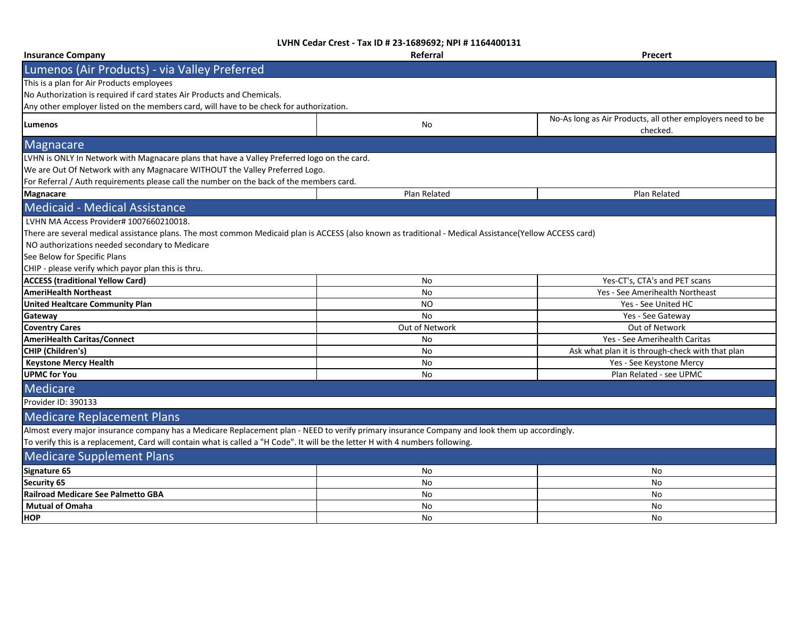| <b>Insurance Company</b>                                                                                                                                | Referral       | Precert                                                                |
|---------------------------------------------------------------------------------------------------------------------------------------------------------|----------------|------------------------------------------------------------------------|
| Lumenos (Air Products) - via Valley Preferred                                                                                                           |                |                                                                        |
| This is a plan for Air Products employees                                                                                                               |                |                                                                        |
| No Authorization is required if card states Air Products and Chemicals.                                                                                 |                |                                                                        |
| Any other employer listed on the members card, will have to be check for authorization.                                                                 |                |                                                                        |
| Lumenos                                                                                                                                                 | No             | No-As long as Air Products, all other employers need to be<br>checked. |
| Magnacare                                                                                                                                               |                |                                                                        |
| LVHN is ONLY In Network with Magnacare plans that have a Valley Preferred logo on the card.                                                             |                |                                                                        |
| We are Out Of Network with any Magnacare WITHOUT the Valley Preferred Logo.                                                                             |                |                                                                        |
| For Referral / Auth requirements please call the number on the back of the members card.                                                                |                |                                                                        |
| <b>Magnacare</b>                                                                                                                                        | Plan Related   | Plan Related                                                           |
| <b>Medicaid - Medical Assistance</b>                                                                                                                    |                |                                                                        |
| LVHN MA Access Provider# 1007660210018.                                                                                                                 |                |                                                                        |
| There are several medical assistance plans. The most common Medicaid plan is ACCESS (also known as traditional - Medical Assistance(Yellow ACCESS card) |                |                                                                        |
| NO authorizations needed secondary to Medicare                                                                                                          |                |                                                                        |
| See Below for Specific Plans                                                                                                                            |                |                                                                        |
| CHIP - please verify which payor plan this is thru.                                                                                                     |                |                                                                        |
| <b>ACCESS (traditional Yellow Card)</b>                                                                                                                 | No             | Yes-CT's, CTA's and PET scans                                          |
| <b>AmeriHealth Northeast</b>                                                                                                                            | No             | Yes - See Amerihealth Northeast                                        |
| <b>United Healtcare Community Plan</b>                                                                                                                  | NO.            | Yes - See United HC                                                    |
| Gateway                                                                                                                                                 | No             | Yes - See Gateway                                                      |
| <b>Coventry Cares</b>                                                                                                                                   | Out of Network | Out of Network                                                         |
| <b>AmeriHealth Caritas/Connect</b>                                                                                                                      | No             | Yes - See Amerihealth Caritas                                          |
| <b>CHIP</b> (Children's)                                                                                                                                | <b>No</b>      | Ask what plan it is through-check with that plan                       |
| <b>Keystone Mercy Health</b>                                                                                                                            | No             | Yes - See Keystone Mercy                                               |
| <b>UPMC for You</b>                                                                                                                                     | No             | Plan Related - see UPMC                                                |
| Medicare                                                                                                                                                |                |                                                                        |
| Provider ID: 390133                                                                                                                                     |                |                                                                        |
| <b>Medicare Replacement Plans</b>                                                                                                                       |                |                                                                        |
| Almost every major insurance company has a Medicare Replacement plan - NEED to verify primary insurance Company and look them up accordingly.           |                |                                                                        |
| To verify this is a replacement, Card will contain what is called a "H Code". It will be the letter H with 4 numbers following.                         |                |                                                                        |
| <b>Medicare Supplement Plans</b>                                                                                                                        |                |                                                                        |
| Signature 65                                                                                                                                            | No             | No                                                                     |
| Security 65                                                                                                                                             | No             | No                                                                     |
| Railroad Medicare See Palmetto GBA                                                                                                                      | No             | No                                                                     |
| <b>Mutual of Omaha</b>                                                                                                                                  | No             | No                                                                     |
| <b>HOP</b>                                                                                                                                              | <b>No</b>      | No                                                                     |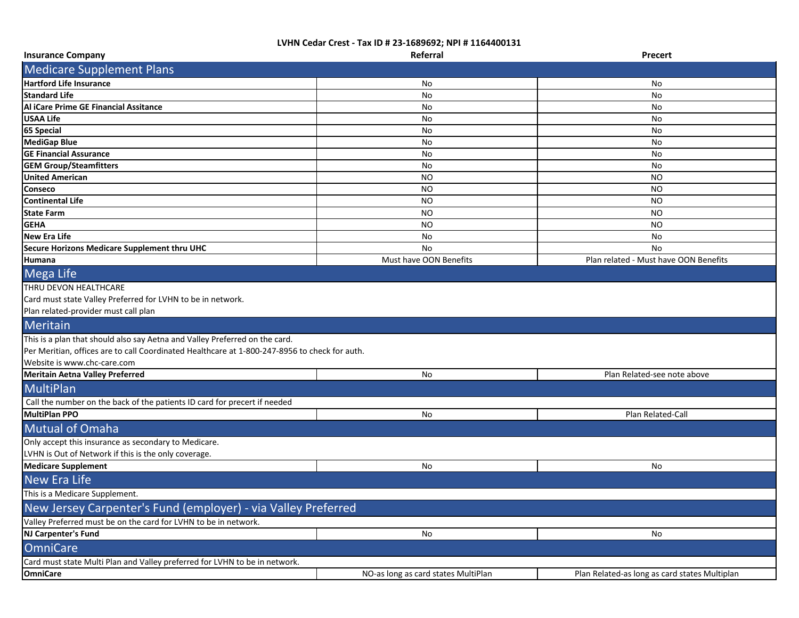| <b>Insurance Company</b>                                                                                                                                                                                    | Referral                            | <b>Precert</b>                                |
|-------------------------------------------------------------------------------------------------------------------------------------------------------------------------------------------------------------|-------------------------------------|-----------------------------------------------|
| <b>Medicare Supplement Plans</b>                                                                                                                                                                            |                                     |                                               |
| <b>Hartford Life Insurance</b>                                                                                                                                                                              | No.                                 | No                                            |
| <b>Standard Life</b>                                                                                                                                                                                        | No                                  | No                                            |
| Al iCare Prime GE Financial Assitance                                                                                                                                                                       | No                                  | No                                            |
| <b>USAA Life</b>                                                                                                                                                                                            | No                                  | No                                            |
| 65 Special                                                                                                                                                                                                  | No                                  | No                                            |
| <b>MediGap Blue</b>                                                                                                                                                                                         | No                                  | No                                            |
| <b>GE Financial Assurance</b>                                                                                                                                                                               | No                                  | No                                            |
| <b>GEM Group/Steamfitters</b>                                                                                                                                                                               | No                                  | No                                            |
| <b>United American</b>                                                                                                                                                                                      | NO.                                 | ΝO                                            |
| Conseco                                                                                                                                                                                                     | NO.                                 | NO                                            |
| <b>Continental Life</b>                                                                                                                                                                                     | NO.                                 | NO                                            |
| <b>State Farm</b>                                                                                                                                                                                           | NO.                                 | NO                                            |
| <b>GEHA</b>                                                                                                                                                                                                 | NO.                                 | NO                                            |
| <b>New Era Life</b>                                                                                                                                                                                         | No                                  | No                                            |
| Secure Horizons Medicare Supplement thru UHC                                                                                                                                                                | No                                  | No                                            |
| Humana                                                                                                                                                                                                      | Must have OON Benefits              | Plan related - Must have OON Benefits         |
| Mega Life                                                                                                                                                                                                   |                                     |                                               |
| THRU DEVON HEALTHCARE<br>Card must state Valley Preferred for LVHN to be in network.<br>Plan related-provider must call plan                                                                                |                                     |                                               |
| Meritain                                                                                                                                                                                                    |                                     |                                               |
| This is a plan that should also say Aetna and Valley Preferred on the card.<br>Per Meritian, offices are to call Coordinated Healthcare at 1-800-247-8956 to check for auth.<br>Website is www.chc-care.com |                                     |                                               |
| <b>Meritain Aetna Valley Preferred</b>                                                                                                                                                                      | No                                  | Plan Related-see note above                   |
| <b>MultiPlan</b>                                                                                                                                                                                            |                                     |                                               |
| Call the number on the back of the patients ID card for precert if needed                                                                                                                                   |                                     |                                               |
| <b>MultiPlan PPO</b>                                                                                                                                                                                        | No                                  | Plan Related-Call                             |
| <b>Mutual of Omaha</b>                                                                                                                                                                                      |                                     |                                               |
| Only accept this insurance as secondary to Medicare.<br>LVHN is Out of Network if this is the only coverage.                                                                                                |                                     |                                               |
| <b>Medicare Supplement</b>                                                                                                                                                                                  | No                                  | No                                            |
| <b>New Era Life</b>                                                                                                                                                                                         |                                     |                                               |
| This is a Medicare Supplement.                                                                                                                                                                              |                                     |                                               |
| New Jersey Carpenter's Fund (employer) - via Valley Preferred                                                                                                                                               |                                     |                                               |
| Valley Preferred must be on the card for LVHN to be in network.                                                                                                                                             |                                     |                                               |
| NJ Carpenter's Fund                                                                                                                                                                                         | No                                  | No                                            |
| <b>OmniCare</b>                                                                                                                                                                                             |                                     |                                               |
| Card must state Multi Plan and Valley preferred for LVHN to be in network.                                                                                                                                  |                                     |                                               |
| <b>OmniCare</b>                                                                                                                                                                                             | NO-as long as card states MultiPlan | Plan Related-as long as card states Multiplan |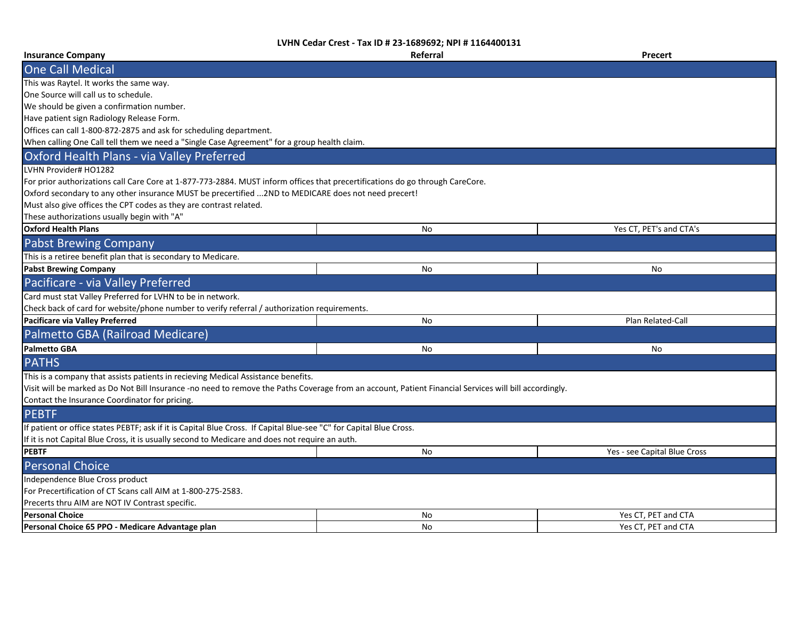| <b>Insurance Company</b>                                                                                                                               | Referral | <b>Precert</b>               |
|--------------------------------------------------------------------------------------------------------------------------------------------------------|----------|------------------------------|
| <b>One Call Medical</b>                                                                                                                                |          |                              |
| This was Raytel. It works the same way.                                                                                                                |          |                              |
| One Source will call us to schedule.                                                                                                                   |          |                              |
| We should be given a confirmation number.                                                                                                              |          |                              |
| Have patient sign Radiology Release Form.                                                                                                              |          |                              |
| Offices can call 1-800-872-2875 and ask for scheduling department.                                                                                     |          |                              |
| When calling One Call tell them we need a "Single Case Agreement" for a group health claim.                                                            |          |                              |
| Oxford Health Plans - via Valley Preferred                                                                                                             |          |                              |
| LVHN Provider# HO1282                                                                                                                                  |          |                              |
| For prior authorizations call Care Core at 1-877-773-2884. MUST inform offices that precertifications do go through CareCore.                          |          |                              |
| Oxford secondary to any other insurance MUST be precertified  2ND to MEDICARE does not need precert!                                                   |          |                              |
| Must also give offices the CPT codes as they are contrast related.                                                                                     |          |                              |
| These authorizations usually begin with "A"                                                                                                            |          |                              |
| <b>Oxford Health Plans</b>                                                                                                                             | No       | Yes CT, PET's and CTA's      |
| <b>Pabst Brewing Company</b>                                                                                                                           |          |                              |
| This is a retiree benefit plan that is secondary to Medicare.                                                                                          |          |                              |
| <b>Pabst Brewing Company</b>                                                                                                                           | No       | No                           |
| Pacificare - via Valley Preferred                                                                                                                      |          |                              |
| Card must stat Valley Preferred for LVHN to be in network.                                                                                             |          |                              |
| Check back of card for website/phone number to verify referral / authorization requirements.                                                           |          |                              |
| Pacificare via Valley Preferred                                                                                                                        | No       | Plan Related-Call            |
| Palmetto GBA (Railroad Medicare)                                                                                                                       |          |                              |
| <b>Palmetto GBA</b>                                                                                                                                    | No       | No                           |
| <b>PATHS</b>                                                                                                                                           |          |                              |
| This is a company that assists patients in recieving Medical Assistance benefits.                                                                      |          |                              |
| Visit will be marked as Do Not Bill Insurance -no need to remove the Paths Coverage from an account, Patient Financial Services will bill accordingly. |          |                              |
| Contact the Insurance Coordinator for pricing.                                                                                                         |          |                              |
| <b>PEBTF</b>                                                                                                                                           |          |                              |
| If patient or office states PEBTF; ask if it is Capital Blue Cross. If Capital Blue-see "C" for Capital Blue Cross.                                    |          |                              |
| If it is not Capital Blue Cross, it is usually second to Medicare and does not require an auth.                                                        |          |                              |
| <b>PEBTF</b>                                                                                                                                           | No       | Yes - see Capital Blue Cross |
| <b>Personal Choice</b>                                                                                                                                 |          |                              |
| Independence Blue Cross product                                                                                                                        |          |                              |
| For Precertification of CT Scans call AIM at 1-800-275-2583.                                                                                           |          |                              |
| Precerts thru AIM are NOT IV Contrast specific.                                                                                                        |          |                              |
| <b>Personal Choice</b>                                                                                                                                 | No       | Yes CT, PET and CTA          |
| Personal Choice 65 PPO - Medicare Advantage plan                                                                                                       | No       | Yes CT, PET and CTA          |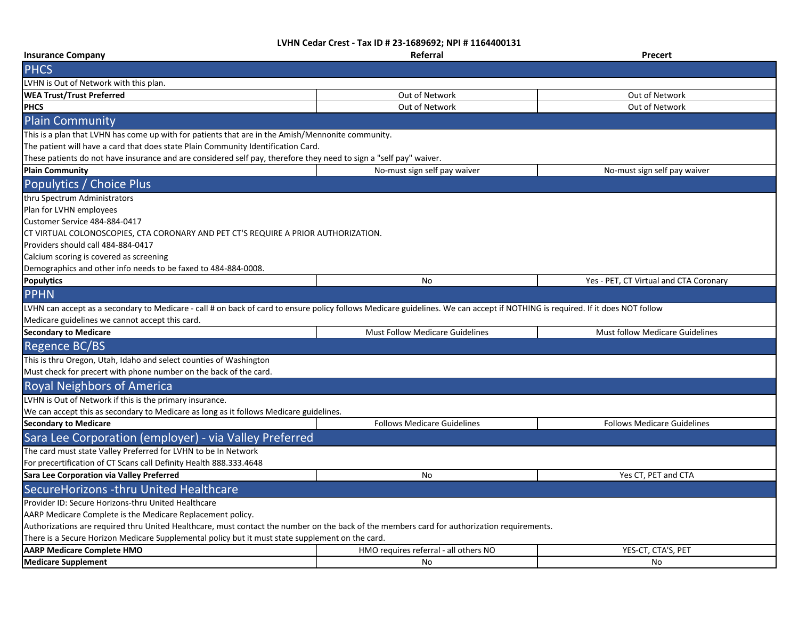| <b>Insurance Company</b>                                                                                                                                                      | Referral                               | <b>Precert</b>                         |
|-------------------------------------------------------------------------------------------------------------------------------------------------------------------------------|----------------------------------------|----------------------------------------|
| <b>PHCS</b>                                                                                                                                                                   |                                        |                                        |
| LVHN is Out of Network with this plan.                                                                                                                                        |                                        |                                        |
| <b>WEA Trust/Trust Preferred</b>                                                                                                                                              | Out of Network                         | Out of Network                         |
| <b>PHCS</b>                                                                                                                                                                   | Out of Network                         | Out of Network                         |
| <b>Plain Community</b>                                                                                                                                                        |                                        |                                        |
| This is a plan that LVHN has come up with for patients that are in the Amish/Mennonite community.                                                                             |                                        |                                        |
| The patient will have a card that does state Plain Community Identification Card.                                                                                             |                                        |                                        |
| These patients do not have insurance and are considered self pay, therefore they need to sign a "self pay" waiver.                                                            |                                        |                                        |
| <b>Plain Community</b>                                                                                                                                                        | No-must sign self pay waiver           | No-must sign self pay waiver           |
| Populytics / Choice Plus                                                                                                                                                      |                                        |                                        |
| thru Spectrum Administrators                                                                                                                                                  |                                        |                                        |
| Plan for LVHN employees                                                                                                                                                       |                                        |                                        |
| Customer Service 484-884-0417                                                                                                                                                 |                                        |                                        |
| CT VIRTUAL COLONOSCOPIES, CTA CORONARY AND PET CT'S REQUIRE A PRIOR AUTHORIZATION.                                                                                            |                                        |                                        |
| Providers should call 484-884-0417                                                                                                                                            |                                        |                                        |
| Calcium scoring is covered as screening                                                                                                                                       |                                        |                                        |
| Demographics and other info needs to be faxed to 484-884-0008.                                                                                                                |                                        |                                        |
| <b>Populytics</b>                                                                                                                                                             | No                                     | Yes - PET, CT Virtual and CTA Coronary |
| <b>PPHN</b>                                                                                                                                                                   |                                        |                                        |
| LVHN can accept as a secondary to Medicare - call # on back of card to ensure policy follows Medicare guidelines. We can accept if NOTHING is required. If it does NOT follow |                                        |                                        |
| Medicare guidelines we cannot accept this card.                                                                                                                               |                                        |                                        |
| <b>Secondary to Medicare</b>                                                                                                                                                  | <b>Must Follow Medicare Guidelines</b> | <b>Must follow Medicare Guidelines</b> |
| Regence BC/BS                                                                                                                                                                 |                                        |                                        |
| This is thru Oregon, Utah, Idaho and select counties of Washington                                                                                                            |                                        |                                        |
| Must check for precert with phone number on the back of the card.                                                                                                             |                                        |                                        |
| <b>Royal Neighbors of America</b>                                                                                                                                             |                                        |                                        |
| LVHN is Out of Network if this is the primary insurance.                                                                                                                      |                                        |                                        |
| We can accept this as secondary to Medicare as long as it follows Medicare guidelines.                                                                                        |                                        |                                        |
| <b>Secondary to Medicare</b>                                                                                                                                                  | <b>Follows Medicare Guidelines</b>     | <b>Follows Medicare Guidelines</b>     |
| Sara Lee Corporation (employer) - via Valley Preferred                                                                                                                        |                                        |                                        |
| The card must state Valley Preferred for LVHN to be In Network                                                                                                                |                                        |                                        |
| For precertification of CT Scans call Definity Health 888.333.4648                                                                                                            |                                        |                                        |
| Sara Lee Corporation via Valley Preferred                                                                                                                                     | No                                     | Yes CT, PET and CTA                    |
| SecureHorizons -thru United Healthcare                                                                                                                                        |                                        |                                        |
| Provider ID: Secure Horizons-thru United Healthcare                                                                                                                           |                                        |                                        |
| AARP Medicare Complete is the Medicare Replacement policy.                                                                                                                    |                                        |                                        |
| Authorizations are required thru United Healthcare, must contact the number on the back of the members card for authorization requirements.                                   |                                        |                                        |
| There is a Secure Horizon Medicare Supplemental policy but it must state supplement on the card.                                                                              |                                        |                                        |
| <b>AARP Medicare Complete HMO</b>                                                                                                                                             | HMO requires referral - all others NO  | YES-CT, CTA'S, PET                     |
| <b>Medicare Supplement</b>                                                                                                                                                    | No                                     | No                                     |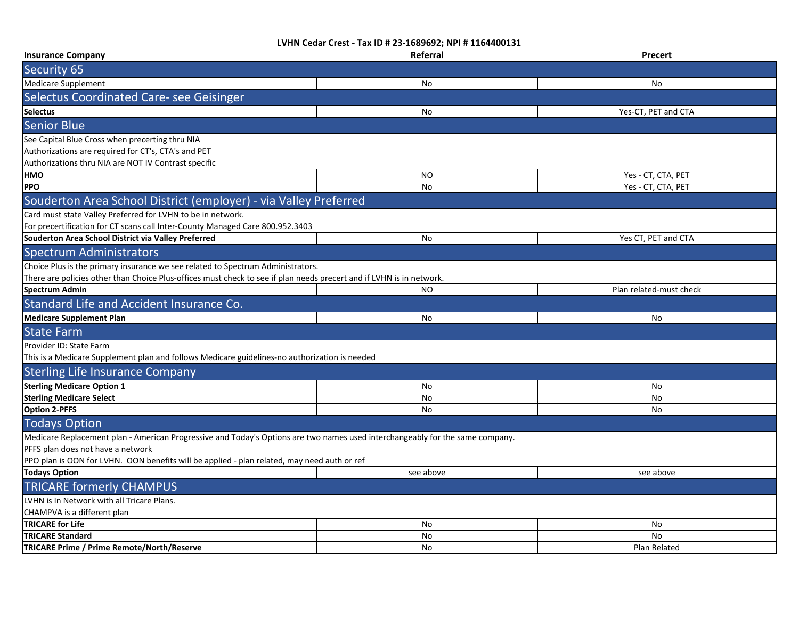| <b>Insurance Company</b>                                                                                                      | Referral  | Precert                 |
|-------------------------------------------------------------------------------------------------------------------------------|-----------|-------------------------|
| Security 65                                                                                                                   |           |                         |
| <b>Medicare Supplement</b>                                                                                                    | No        | No                      |
| Selectus Coordinated Care- see Geisinger                                                                                      |           |                         |
| <b>Selectus</b>                                                                                                               | No        | Yes-CT, PET and CTA     |
| <b>Senior Blue</b>                                                                                                            |           |                         |
| See Capital Blue Cross when precerting thru NIA                                                                               |           |                         |
| Authorizations are required for CT's, CTA's and PET                                                                           |           |                         |
| Authorizations thru NIA are NOT IV Contrast specific                                                                          |           |                         |
| HMO                                                                                                                           | <b>NO</b> | Yes - CT, CTA, PET      |
| <b>PPO</b>                                                                                                                    | No        | Yes - CT, CTA, PET      |
| Souderton Area School District (employer) - via Valley Preferred                                                              |           |                         |
| Card must state Valley Preferred for LVHN to be in network.                                                                   |           |                         |
| For precertification for CT scans call Inter-County Managed Care 800.952.3403                                                 |           |                         |
| Souderton Area School District via Valley Preferred                                                                           | No        | Yes CT, PET and CTA     |
| <b>Spectrum Administrators</b>                                                                                                |           |                         |
| Choice Plus is the primary insurance we see related to Spectrum Administrators.                                               |           |                         |
| There are policies other than Choice Plus-offices must check to see if plan needs precert and if LVHN is in network.          |           |                         |
| <b>Spectrum Admin</b>                                                                                                         | <b>NO</b> | Plan related-must check |
| Standard Life and Accident Insurance Co.                                                                                      |           |                         |
| <b>Medicare Supplement Plan</b>                                                                                               | No        | No                      |
| <b>State Farm</b>                                                                                                             |           |                         |
| Provider ID: State Farm                                                                                                       |           |                         |
| This is a Medicare Supplement plan and follows Medicare guidelines-no authorization is needed                                 |           |                         |
| <b>Sterling Life Insurance Company</b>                                                                                        |           |                         |
| <b>Sterling Medicare Option 1</b>                                                                                             | No        | No                      |
| <b>Sterling Medicare Select</b>                                                                                               | No        | No                      |
| <b>Option 2-PFFS</b>                                                                                                          | No        | No                      |
| <b>Todays Option</b>                                                                                                          |           |                         |
| Medicare Replacement plan - American Progressive and Today's Options are two names used interchangeably for the same company. |           |                         |
| PFFS plan does not have a network                                                                                             |           |                         |
| PPO plan is OON for LVHN. OON benefits will be applied - plan related, may need auth or ref                                   |           |                         |
| <b>Todays Option</b>                                                                                                          | see above | see above               |
| <b>TRICARE formerly CHAMPUS</b>                                                                                               |           |                         |
| LVHN is In Network with all Tricare Plans.                                                                                    |           |                         |
| CHAMPVA is a different plan                                                                                                   |           |                         |
| <b>TRICARE for Life</b>                                                                                                       | No        | No                      |
| <b>TRICARE Standard</b>                                                                                                       | No        | <b>No</b>               |
| TRICARE Prime / Prime Remote/North/Reserve                                                                                    | No        | Plan Related            |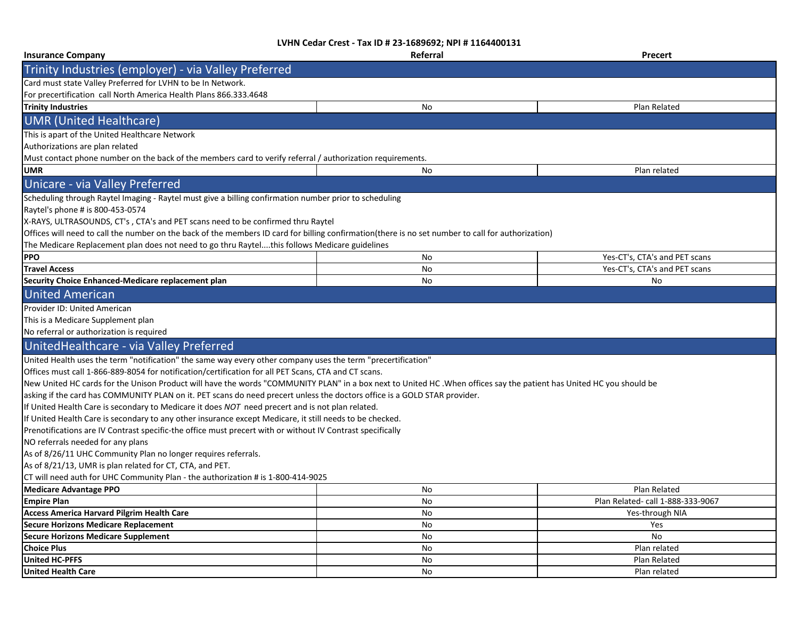| <b>Insurance Company</b>                                                                                                                                             | Referral | <b>Precert</b>                    |  |
|----------------------------------------------------------------------------------------------------------------------------------------------------------------------|----------|-----------------------------------|--|
| Trinity Industries (employer) - via Valley Preferred                                                                                                                 |          |                                   |  |
| Card must state Valley Preferred for LVHN to be In Network.                                                                                                          |          |                                   |  |
| For precertification call North America Health Plans 866.333.4648                                                                                                    |          |                                   |  |
| <b>Trinity Industries</b>                                                                                                                                            | No       | Plan Related                      |  |
| <b>UMR (United Healthcare)</b>                                                                                                                                       |          |                                   |  |
| This is apart of the United Healthcare Network                                                                                                                       |          |                                   |  |
| Authorizations are plan related                                                                                                                                      |          |                                   |  |
| Must contact phone number on the back of the members card to verify referral / authorization requirements.                                                           |          |                                   |  |
| <b>UMR</b>                                                                                                                                                           | No       | Plan related                      |  |
| Unicare - via Valley Preferred                                                                                                                                       |          |                                   |  |
| Scheduling through Raytel Imaging - Raytel must give a billing confirmation number prior to scheduling                                                               |          |                                   |  |
| Raytel's phone # is 800-453-0574                                                                                                                                     |          |                                   |  |
| X-RAYS, ULTRASOUNDS, CT's, CTA's and PET scans need to be confirmed thru Raytel                                                                                      |          |                                   |  |
| Offices will need to call the number on the back of the members ID card for billing confirmation(there is no set number to call for authorization)                   |          |                                   |  |
| The Medicare Replacement plan does not need to go thru Raytelthis follows Medicare guidelines                                                                        |          |                                   |  |
| <b>PPO</b>                                                                                                                                                           | No       | Yes-CT's, CTA's and PET scans     |  |
| <b>Travel Access</b>                                                                                                                                                 | No       | Yes-CT's, CTA's and PET scans     |  |
| Security Choice Enhanced-Medicare replacement plan                                                                                                                   | No       | No                                |  |
| <b>United American</b>                                                                                                                                               |          |                                   |  |
| Provider ID: United American                                                                                                                                         |          |                                   |  |
| This is a Medicare Supplement plan                                                                                                                                   |          |                                   |  |
| No referral or authorization is required                                                                                                                             |          |                                   |  |
| UnitedHealthcare - via Valley Preferred                                                                                                                              |          |                                   |  |
| United Health uses the term "notification" the same way every other company uses the term "precertification"                                                         |          |                                   |  |
| Offices must call 1-866-889-8054 for notification/certification for all PET Scans, CTA and CT scans.                                                                 |          |                                   |  |
| New United HC cards for the Unison Product will have the words "COMMUNITY PLAN" in a box next to United HC. When offices say the patient has United HC you should be |          |                                   |  |
| asking if the card has COMMUNITY PLAN on it. PET scans do need precert unless the doctors office is a GOLD STAR provider.                                            |          |                                   |  |
| If United Health Care is secondary to Medicare it does NOT need precert and is not plan related.                                                                     |          |                                   |  |
| If United Health Care is secondary to any other insurance except Medicare, it still needs to be checked.                                                             |          |                                   |  |
| Prenotifications are IV Contrast specific-the office must precert with or without IV Contrast specifically                                                           |          |                                   |  |
| NO referrals needed for any plans                                                                                                                                    |          |                                   |  |
| As of 8/26/11 UHC Community Plan no longer requires referrals.                                                                                                       |          |                                   |  |
| As of 8/21/13, UMR is plan related for CT, CTA, and PET.                                                                                                             |          |                                   |  |
| CT will need auth for UHC Community Plan - the authorization # is 1-800-414-9025                                                                                     |          |                                   |  |
| <b>Medicare Advantage PPO</b>                                                                                                                                        | No       | Plan Related                      |  |
| <b>Empire Plan</b>                                                                                                                                                   | No       | Plan Related- call 1-888-333-9067 |  |
| <b>Access America Harvard Pilgrim Health Care</b>                                                                                                                    | No       | Yes-through NIA                   |  |
| <b>Secure Horizons Medicare Replacement</b>                                                                                                                          | No       | Yes                               |  |
| <b>Secure Horizons Medicare Supplement</b>                                                                                                                           | No       | No                                |  |
| <b>Choice Plus</b>                                                                                                                                                   | No       | Plan related                      |  |
| <b>United HC-PFFS</b>                                                                                                                                                | No       | Plan Related                      |  |
| <b>United Health Care</b>                                                                                                                                            | No       | Plan related                      |  |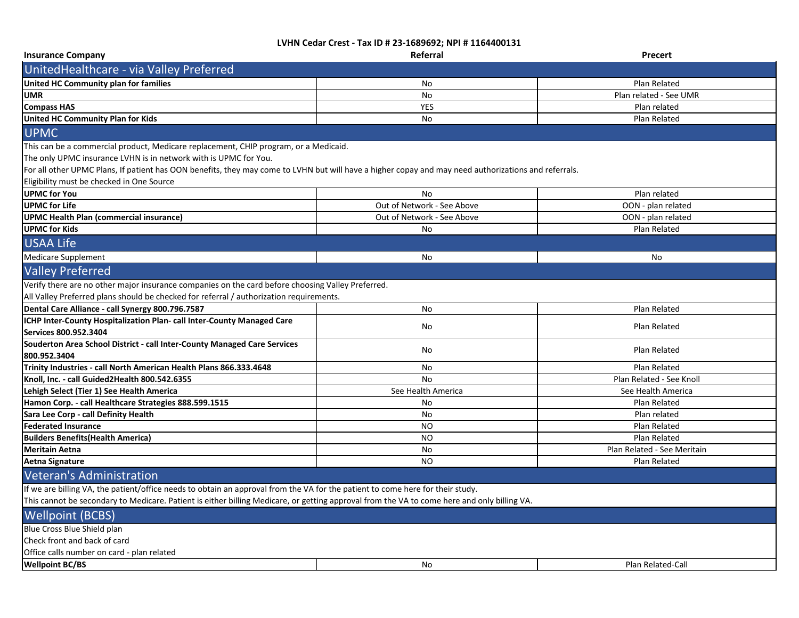| <b>Insurance Company</b>                                                                                                                             | Referral                   | Precert                     |  |
|------------------------------------------------------------------------------------------------------------------------------------------------------|----------------------------|-----------------------------|--|
| UnitedHealthcare - via Valley Preferred                                                                                                              |                            |                             |  |
| United HC Community plan for families                                                                                                                | No                         | Plan Related                |  |
| <b>UMR</b>                                                                                                                                           | No                         | Plan related - See UMR      |  |
| <b>Compass HAS</b>                                                                                                                                   | <b>YES</b>                 | Plan related                |  |
| <b>United HC Community Plan for Kids</b>                                                                                                             | No                         | Plan Related                |  |
| <b>UPMC</b>                                                                                                                                          |                            |                             |  |
| This can be a commercial product, Medicare replacement, CHIP program, or a Medicaid.                                                                 |                            |                             |  |
| The only UPMC insurance LVHN is in network with is UPMC for You.                                                                                     |                            |                             |  |
| For all other UPMC Plans, If patient has OON benefits, they may come to LVHN but will have a higher copay and may need authorizations and referrals. |                            |                             |  |
| Eligibility must be checked in One Source                                                                                                            |                            |                             |  |
| <b>UPMC for You</b>                                                                                                                                  | <b>No</b>                  | Plan related                |  |
| <b>UPMC</b> for Life                                                                                                                                 | Out of Network - See Above | OON - plan related          |  |
| <b>UPMC Health Plan (commercial insurance)</b>                                                                                                       | Out of Network - See Above | OON - plan related          |  |
| <b>UPMC for Kids</b>                                                                                                                                 | <b>No</b>                  | Plan Related                |  |
| <b>USAA Life</b>                                                                                                                                     |                            |                             |  |
| <b>Medicare Supplement</b>                                                                                                                           | No                         | No                          |  |
| <b>Valley Preferred</b>                                                                                                                              |                            |                             |  |
| Verify there are no other major insurance companies on the card before choosing Valley Preferred.                                                    |                            |                             |  |
| All Valley Preferred plans should be checked for referral / authorization requirements.                                                              |                            |                             |  |
| Dental Care Alliance - call Synergy 800.796.7587                                                                                                     | <b>No</b>                  | Plan Related                |  |
| ICHP Inter-County Hospitalization Plan- call Inter-County Managed Care                                                                               | <b>No</b>                  | Plan Related                |  |
| Services 800.952.3404                                                                                                                                |                            |                             |  |
| Souderton Area School District - call Inter-County Managed Care Services                                                                             |                            | Plan Related                |  |
| 800.952.3404                                                                                                                                         | No                         |                             |  |
| Trinity Industries - call North American Health Plans 866.333.4648                                                                                   | No                         | Plan Related                |  |
| Knoll, Inc. - call Guided2Health 800.542.6355                                                                                                        | No                         | Plan Related - See Knoll    |  |
| Lehigh Select (Tier 1) See Health America                                                                                                            | See Health America         | See Health America          |  |
| Hamon Corp. - call Healthcare Strategies 888.599.1515                                                                                                | <b>No</b>                  | Plan Related                |  |
| Sara Lee Corp - call Definity Health                                                                                                                 | No                         | Plan related                |  |
| <b>Federated Insurance</b>                                                                                                                           | <b>NO</b>                  | Plan Related                |  |
| <b>Builders Benefits (Health America)</b>                                                                                                            | <b>NO</b>                  | Plan Related                |  |
| <b>Meritain Aetna</b>                                                                                                                                | No                         | Plan Related - See Meritain |  |
| Aetna Signature                                                                                                                                      | <b>NO</b>                  | Plan Related                |  |
| <b>Veteran's Administration</b>                                                                                                                      |                            |                             |  |
| If we are billing VA, the patient/office needs to obtain an approval from the VA for the patient to come here for their study.                       |                            |                             |  |
| This cannot be secondary to Medicare. Patient is either billing Medicare, or getting approval from the VA to come here and only billing VA.          |                            |                             |  |
| <b>Wellpoint (BCBS)</b>                                                                                                                              |                            |                             |  |
| Blue Cross Blue Shield plan                                                                                                                          |                            |                             |  |
| Check front and back of card                                                                                                                         |                            |                             |  |
| Office calls number on card - plan related                                                                                                           |                            |                             |  |
| <b>Wellpoint BC/BS</b>                                                                                                                               | No                         | Plan Related-Call           |  |